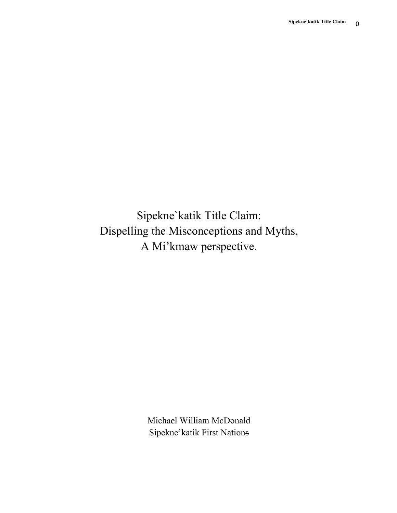Sipekne`katik Title Claim: Dispelling the Misconceptions and Myths, A Mi'kmaw perspective.

> Michael William McDonald Sipekne'katik First Nations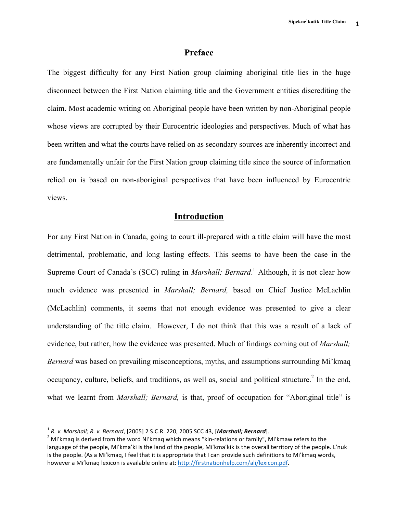## **Preface**

The biggest difficulty for any First Nation group claiming aboriginal title lies in the huge disconnect between the First Nation claiming title and the Government entities discrediting the claim. Most academic writing on Aboriginal people have been written by non-Aboriginal people whose views are corrupted by their Eurocentric ideologies and perspectives. Much of what has been written and what the courts have relied on as secondary sources are inherently incorrect and are fundamentally unfair for the First Nation group claiming title since the source of information relied on is based on non-aboriginal perspectives that have been influenced by Eurocentric views.

# **Introduction**

For any First Nation-in Canada, going to court ill-prepared with a title claim will have the most detrimental, problematic, and long lasting effects. This seems to have been the case in the Supreme Court of Canada's (SCC) ruling in *Marshall; Bernard*.<sup>1</sup> Although, it is not clear how much evidence was presented in *Marshall; Bernard,* based on Chief Justice McLachlin (McLachlin) comments, it seems that not enough evidence was presented to give a clear understanding of the title claim. However, I do not think that this was a result of a lack of evidence, but rather, how the evidence was presented. Much of findings coming out of *Marshall; Bernard* was based on prevailing misconceptions, myths, and assumptions surrounding Mi'kmaq occupancy, culture, beliefs, and traditions, as well as, social and political structure.<sup>2</sup> In the end, what we learnt from *Marshall; Bernard*, is that, proof of occupation for "Aboriginal title" is

<sup>&</sup>lt;sup>1</sup> *R. v. Marshall; R. v. Bernard*, [2005] 2 S.C.R. 220, 2005 SCC 43, [*Marshall; Bernard*].<br><sup>2</sup> Mi'kmaa is derived from the word Ni'kmaq which means "kin-relations or family", Mi'kmaw refers to the language of the people, Mi'kma'ki is the land of the people, Mi'kma'kik is the overall territory of the people. L'nuk is the people. (As a Mi'kmaq, I feel that it is appropriate that I can provide such definitions to Mi'kmaq words, however a Mi'kmaq lexicon is available online at: http://firstnationhelp.com/ali/lexicon.pdf.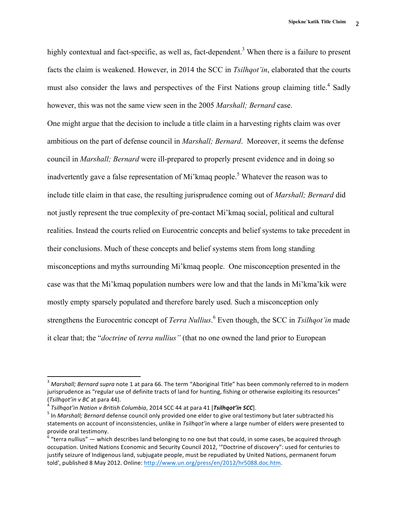highly contextual and fact-specific, as well as, fact-dependent.<sup>3</sup> When there is a failure to present facts the claim is weakened. However, in 2014 the SCC in *Tsilhqot'in*, elaborated that the courts must also consider the laws and perspectives of the First Nations group claiming title.<sup>4</sup> Sadly however, this was not the same view seen in the 2005 *Marshall; Bernard* case.

One might argue that the decision to include a title claim in a harvesting rights claim was over ambitious on the part of defense council in *Marshall; Bernard*. Moreover, it seems the defense council in *Marshall; Bernard* were ill-prepared to properly present evidence and in doing so inadvertently gave a false representation of Mi'kmaq people.<sup>5</sup> Whatever the reason was to include title claim in that case, the resulting jurisprudence coming out of *Marshall; Bernard* did not justly represent the true complexity of pre-contact Mi'kmaq social, political and cultural realities. Instead the courts relied on Eurocentric concepts and belief systems to take precedent in their conclusions. Much of these concepts and belief systems stem from long standing misconceptions and myths surrounding Mi'kmaq people. One misconception presented in the case was that the Mi'kmaq population numbers were low and that the lands in Mi'kma'kik were mostly empty sparsely populated and therefore barely used. Such a misconception only strengthens the Eurocentric concept of *Terra Nullius*. <sup>6</sup> Even though, the SCC in *Tsilhqot'in* made it clear that; the "*doctrine* of *terra nullius"* (that no one owned the land prior to European

<sup>&</sup>lt;sup>3</sup> Marshall; Bernard supra note 1 at para 66. The term "Aboriginal Title" has been commonly referred to in modern jurisprudence as "regular use of definite tracts of land for hunting, fishing or otherwise exploiting its resources" (Tsilhqot'in v BC at para 44).<br><sup>4</sup> Tsilhqot'in Nation v British Columbia, 2014 SCC 44 at para 41 [**Tsilhqot'in SCC**].<br><sup>5</sup> In Marshall; Bernard defense council only provided one elder to give oral testimony but later subtra

statements on account of inconsistencies, unlike in *Tsilhqot'in* where a large number of elders were presented to provide oral testimony.

 $6$  "terra nullius"  $-$  which describes land belonging to no one but that could, in some cases, be acquired through occupation. United Nations Economic and Security Council 2012, ""Doctrine of discovery": used for centuries to justify seizure of Indigenous land, subjugate people, must be repudiated by United Nations, permanent forum told', published 8 May 2012. Online: http://www.un.org/press/en/2012/hr5088.doc.htm.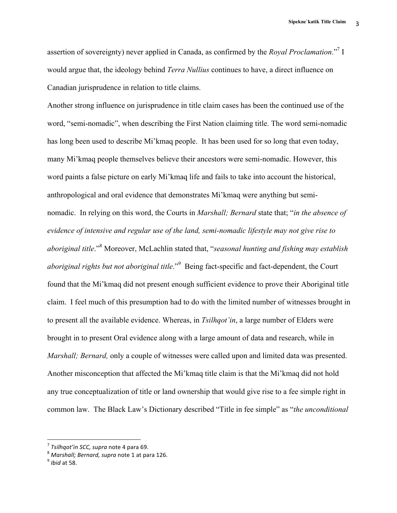assertion of sovereignty) never applied in Canada, as confirmed by the *Royal Proclamation*."7 I would argue that, the ideology behind *Terra Nullius* continues to have, a direct influence on Canadian jurisprudence in relation to title claims.

Another strong influence on jurisprudence in title claim cases has been the continued use of the word, "semi-nomadic", when describing the First Nation claiming title. The word semi-nomadic has long been used to describe Mi'kmaq people. It has been used for so long that even today, many Mi'kmaq people themselves believe their ancestors were semi-nomadic. However, this word paints a false picture on early Mi'kmaq life and fails to take into account the historical, anthropological and oral evidence that demonstrates Mi'kmaq were anything but seminomadic. In relying on this word, the Courts in *Marshall; Bernard* state that; "*in the absence of evidence of intensive and regular use of the land, semi-nomadic lifestyle may not give rise to aboriginal title*." <sup>8</sup> Moreover, McLachlin stated that, "*seasonal hunting and fishing may establish aboriginal rights but not aboriginal title*." <sup>9</sup> Being fact-specific and fact-dependent, the Court found that the Mi'kmaq did not present enough sufficient evidence to prove their Aboriginal title claim. I feel much of this presumption had to do with the limited number of witnesses brought in to present all the available evidence. Whereas, in *Tsilhqot'in*, a large number of Elders were brought in to present Oral evidence along with a large amount of data and research, while in *Marshall; Bernard,* only a couple of witnesses were called upon and limited data was presented. Another misconception that affected the Mi'kmaq title claim is that the Mi'kmaq did not hold any true conceptualization of title or land ownership that would give rise to a fee simple right in common law. The Black Law's Dictionary described "Title in fee simple" as "*the unconditional* 

<sup>&</sup>lt;sup>7</sup> Tsilhqot'in SCC, supra note 4 para 69.<br><sup>8</sup> *Marshall; Bernard, supra* note 1 at para 126. 9 *Ibid* at 58.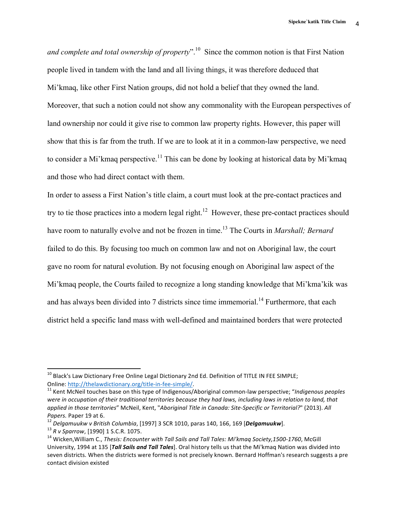*and complete and total ownership of property*". <sup>10</sup> Since the common notion is that First Nation people lived in tandem with the land and all living things, it was therefore deduced that Mi'kmaq, like other First Nation groups, did not hold a belief that they owned the land. Moreover, that such a notion could not show any commonality with the European perspectives of land ownership nor could it give rise to common law property rights. However, this paper will show that this is far from the truth. If we are to look at it in a common-law perspective, we need to consider a Mi'kmaq perspective.<sup>11</sup> This can be done by looking at historical data by Mi'kmaq and those who had direct contact with them.

In order to assess a First Nation's title claim, a court must look at the pre-contact practices and try to tie those practices into a modern legal right.<sup>12</sup> However, these pre-contact practices should have room to naturally evolve and not be frozen in time.<sup>13</sup> The Courts in *Marshall; Bernard* failed to do this. By focusing too much on common law and not on Aboriginal law, the court gave no room for natural evolution. By not focusing enough on Aboriginal law aspect of the Mi'kmaq people, the Courts failed to recognize a long standing knowledge that Mi'kma'kik was and has always been divided into 7 districts since time immemorial.<sup>14</sup> Furthermore, that each district held a specific land mass with well-defined and maintained borders that were protected

 $^{10}$  Black's Law Dictionary Free Online Legal Dictionary 2nd Ed. Definition of TITLE IN FEE SIMPLE; Online: http://thelawdictionary.org/title-in-fee-simple/.<br><sup>11</sup> Kent McNeil touches base on this type of Indigenous/Aboriginal common-law perspective; "*Indigenous peoples* 

were in occupation of their traditional territories because they had laws, including laws in relation to land, that *applied in those territories"* McNeil, Kent, "Aboriginal Title in Canada: Site-Specific or Territorial?" (2013). All Papers. Paper 19 at 6.<br><sup>12</sup> Delgamuukw v British Columbia, [1997] 3 SCR 1010, paras 140, 166, 169 [**Delgamuukw**].<br><sup>13</sup> R v Sparrow, [1990] 1 S.C.R. 1075.<br><sup>14</sup> Wicken.William C., Thesis: Encounter with Tall Sails and Tall T

University, 1994 at 135 [*Tall Sails and Tall Tales*]. Oral history tells us that the Mi'kmaq Nation was divided into seven districts. When the districts were formed is not precisely known. Bernard Hoffman's research suggests a pre contact division existed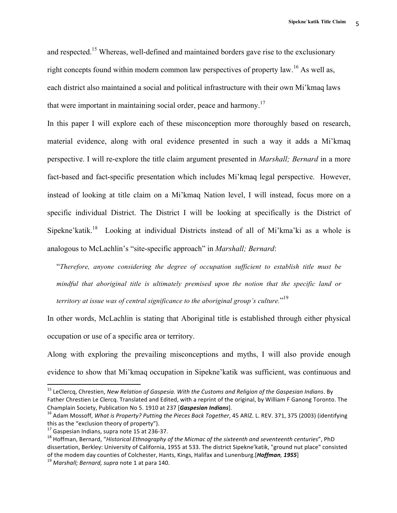and respected.<sup>15</sup> Whereas, well-defined and maintained borders gave rise to the exclusionary right concepts found within modern common law perspectives of property law.<sup>16</sup> As well as, each district also maintained a social and political infrastructure with their own Mi'kmaq laws that were important in maintaining social order, peace and harmony.<sup>17</sup>

In this paper I will explore each of these misconception more thoroughly based on research, material evidence, along with oral evidence presented in such a way it adds a Mi'kmaq perspective. I will re-explore the title claim argument presented in *Marshall; Bernard* in a more fact-based and fact-specific presentation which includes Mi'kmaq legal perspective. However, instead of looking at title claim on a Mi'kmaq Nation level, I will instead, focus more on a specific individual District. The District I will be looking at specifically is the District of Sipekne'katik.<sup>18</sup> Looking at individual Districts instead of all of Mi'kma'ki as a whole is analogous to McLachlin's "site-specific approach" in *Marshall; Bernard*:

"*Therefore, anyone considering the degree of occupation sufficient to establish title must be mindful that aboriginal title is ultimately premised upon the notion that the specific land or territory at issue was of central significance to the aboriginal group's culture.*" 19

In other words, McLachlin is stating that Aboriginal title is established through either physical occupation or use of a specific area or territory.

Along with exploring the prevailing misconceptions and myths, I will also provide enough evidence to show that Mi'kmaq occupation in Sipekne'katik was sufficient, was continuous and

<sup>&</sup>lt;sup>15</sup> LeClercq, Chrestien, *New Relation of Gaspesia. With the Customs and Religion of the Gaspesian Indians. By* Father Chrestien Le Clercq. Translated and Edited, with a reprint of the original, by William F Ganong Toronto. The Champlain Society, Publication No 5. 1910 at 237 [*Gaspesian Indians*].<br><sup>16</sup> Adam Mossoff, *What is Property? Putting the Pieces Back Together*, 45 ARIZ. L. REV. 371, 375 (2003) (identifying

this as the "exclusion theory of property").<br><sup>17</sup> Gaspesian Indians, supra note 15 at 236-37.<br><sup>18</sup> Hoffman, Bernard, "*Historical Ethnography of the Micmac of the sixteenth and seventeenth centuries"*. PhD

dissertation, Berkley: University of California, 1955 at 533. The district Sipekne'katik, "ground nut place" consisted of the modem day counties of Colchester, Hants, Kings, Halifax and Lunenburg.[*Hoffman, 1955*]<br><sup>19</sup> *Marshall; Bernard, supra* note 1 at para 140.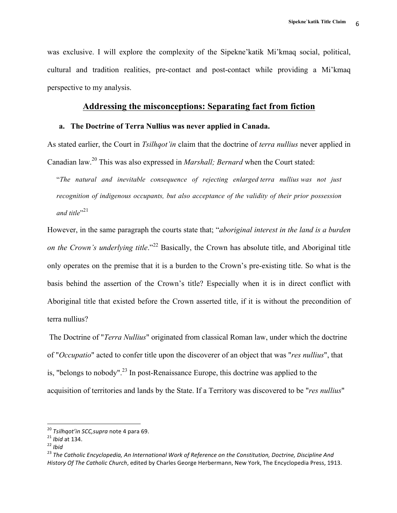was exclusive. I will explore the complexity of the Sipekne'katik Mi'kmaq social, political, cultural and tradition realities, pre-contact and post-contact while providing a Mi'kmaq perspective to my analysis.

### **Addressing the misconceptions: Separating fact from fiction**

### **a. The Doctrine of Terra Nullius was never applied in Canada.**

As stated earlier, the Court in *Tsilhqot'in* claim that the doctrine of *terra nullius* never applied in Canadian law.<sup>20</sup> This was also expressed in *Marshall; Bernard* when the Court stated:

"*The natural and inevitable consequence of rejecting enlarged terra nullius was not just recognition of indigenous occupants, but also acceptance of the validity of their prior possession*  and title"<sup>21</sup>

However, in the same paragraph the courts state that; "*aboriginal interest in the land is a burden on the Crown's underlying title*."<sup>22</sup> Basically, the Crown has absolute title, and Aboriginal title only operates on the premise that it is a burden to the Crown's pre-existing title. So what is the basis behind the assertion of the Crown's title? Especially when it is in direct conflict with Aboriginal title that existed before the Crown asserted title, if it is without the precondition of terra nullius?

The Doctrine of "*Terra Nullius*" originated from classical Roman law, under which the doctrine of "*Occupatio*" acted to confer title upon the discoverer of an object that was "*res nullius*", that is, "belongs to nobody".<sup>23</sup> In post-Renaissance Europe, this doctrine was applied to the acquisition of territories and lands by the State. If a Territory was discovered to be "*res nullius*"

<sup>&</sup>lt;sup>20</sup> *Tsilhqot'in SCC,supra* note 4 para 69.<br><sup>21</sup> *Ibid* at 134.<br><sup>22</sup> *Ibid*<br><sup>23</sup> *The Catholic Encyclopedia, An International Work of Reference on the Constitution, Doctrine, Discipline And History Of The Catholic Church*, edited by Charles George Herbermann, New York, The Encyclopedia Press, 1913.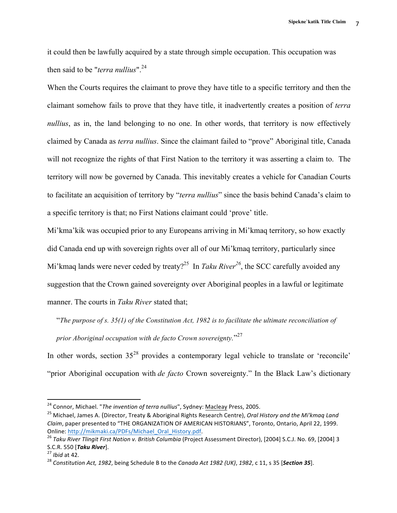it could then be lawfully acquired by a state through simple occupation. This occupation was then said to be "*terra nullius*". 24

When the Courts requires the claimant to prove they have title to a specific territory and then the claimant somehow fails to prove that they have title, it inadvertently creates a position of *terra nullius*, as in, the land belonging to no one. In other words, that territory is now effectively claimed by Canada as *terra nullius*. Since the claimant failed to "prove" Aboriginal title, Canada will not recognize the rights of that First Nation to the territory it was asserting a claim to. The territory will now be governed by Canada. This inevitably creates a vehicle for Canadian Courts to facilitate an acquisition of territory by "*terra nullius*" since the basis behind Canada's claim to a specific territory is that; no First Nations claimant could 'prove' title.

Mi'kma'kik was occupied prior to any Europeans arriving in Mi'kmaq territory, so how exactly did Canada end up with sovereign rights over all of our Mi'kmaq territory, particularly since Mi'kmaq lands were never ceded by treaty?<sup>25</sup> In *Taku River*<sup>26</sup>, the SCC carefully avoided any suggestion that the Crown gained sovereignty over Aboriginal peoples in a lawful or legitimate manner. The courts in *Taku River* stated that;

"*The purpose of s. 35(1) of the Constitution Act, 1982 is to facilitate the ultimate reconciliation of prior Aboriginal occupation with de facto Crown sovereignty.*" 27

In other words, section  $35^{28}$  provides a contemporary legal vehicle to translate or 'reconcile' "prior Aboriginal occupation with *de facto* Crown sovereignty." In the Black Law's dictionary

<sup>24</sup> Connor, Michael. "*The invention of terra nullius*", Sydney: Macleay Press, 2005.

<sup>&</sup>lt;sup>25</sup> Michael, James A. (Director, Treaty & Aboriginal Rights Research Centre), *Oral History and the Mi'kmaq Land Claim*, paper presented to "THE ORGANIZATION OF AMERICAN HISTORIANS", Toronto, Ontario, April 22, 1999. Online: http://mikmaki.ca/PDFs/Michael\_Oral\_History.pdf.<br><sup>26</sup> Taku River Tlingit First Nation v. British Columbia (Project Assessment Director), [2004] S.C.J. No. 69, [2004] 3

S.C.R. 550 [*Taku River*].<br><sup>27</sup> *Ibid* at 42.<br><sup>28</sup> Constitution Act, 1982, being Schedule B to the *Canada Act 1982 (UK), 1982,* c 11, s 35 [*Section 35*].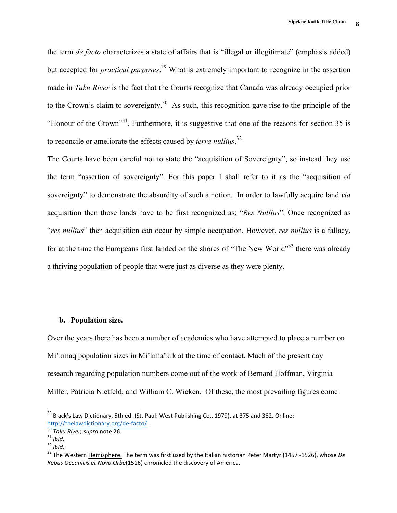the term *de facto* characterizes a state of affairs that is "illegal or illegitimate" (emphasis added) but accepted for *practical purposes*. <sup>29</sup> What is extremely important to recognize in the assertion made in *Taku River* is the fact that the Courts recognize that Canada was already occupied prior to the Crown's claim to sovereignty.<sup>30</sup> As such, this recognition gave rise to the principle of the "Honour of the Crown"<sup>31</sup>. Furthermore, it is suggestive that one of the reasons for section 35 is to reconcile or ameliorate the effects caused by *terra nullius*. 32

The Courts have been careful not to state the "acquisition of Sovereignty", so instead they use the term "assertion of sovereignty". For this paper I shall refer to it as the "acquisition of sovereignty" to demonstrate the absurdity of such a notion. In order to lawfully acquire land *via* acquisition then those lands have to be first recognized as; "*Res Nullius*". Once recognized as "*res nullius*" then acquisition can occur by simple occupation. However, *res nullius* is a fallacy, for at the time the Europeans first landed on the shores of "The New World"<sup>33</sup> there was already a thriving population of people that were just as diverse as they were plenty.

#### **b. Population size.**

Over the years there has been a number of academics who have attempted to place a number on Mi'kmaq population sizes in Mi'kma'kik at the time of contact. Much of the present day research regarding population numbers come out of the work of Bernard Hoffman, Virginia Miller, Patricia Nietfeld, and William C. Wicken. Of these, the most prevailing figures come

<sup>&</sup>lt;sup>29</sup> Black's Law Dictionary, 5th ed. (St. Paul: West Publishing Co., 1979), at 375 and 382. Online: http://thelawdictionary.org/de-facto/.<br>
<sup>30</sup> Taku River, supra note 26.<br>
<sup>31</sup> Ibid.<br>
<sup>32</sup> Ibid.<br>
<sup>33</sup> The Western Hemisphere. The term was first used by the Italian historian Peter Martyr (1457 -1526), whose De

*Rebus Oceanicis et Novo Orbe*(1516) chronicled the discovery of America.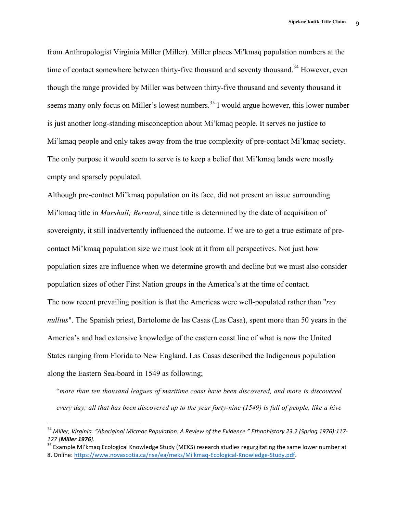from Anthropologist Virginia Miller (Miller). Miller places Mi'kmaq population numbers at the time of contact somewhere between thirty-five thousand and seventy thousand.<sup>34</sup> However, even though the range provided by Miller was between thirty-five thousand and seventy thousand it seems many only focus on Miller's lowest numbers.<sup>35</sup> I would argue however, this lower number is just another long-standing misconception about Mi'kmaq people. It serves no justice to Mi'kmaq people and only takes away from the true complexity of pre-contact Mi'kmaq society. The only purpose it would seem to serve is to keep a belief that Mi'kmaq lands were mostly empty and sparsely populated.

Although pre-contact Mi'kmaq population on its face, did not present an issue surrounding Mi'kmaq title in *Marshall; Bernard*, since title is determined by the date of acquisition of sovereignty, it still inadvertently influenced the outcome. If we are to get a true estimate of precontact Mi'kmaq population size we must look at it from all perspectives. Not just how population sizes are influence when we determine growth and decline but we must also consider population sizes of other First Nation groups in the America's at the time of contact. The now recent prevailing position is that the Americas were well-populated rather than "*res nullius*". The Spanish priest, Bartolome de las Casas (Las Casa), spent more than 50 years in the America's and had extensive knowledge of the eastern coast line of what is now the United States ranging from Florida to New England. Las Casas described the Indigenous population along the Eastern Sea-board in 1549 as following;

"*more than ten thousand leagues of maritime coast have been discovered, and more is discovered every day; all that has been discovered up to the year forty-nine (1549) is full of people, like a hive* 

<sup>&</sup>lt;sup>34</sup> Miller, Virginia. "Aboriginal Micmac Population: A Review of the Evidence." Ethnohistory 23.2 (Spring 1976):117-127 [Miller 1976].<br><sup>35</sup> Example Mi'kmaq Ecological Knowledge Study (MEKS) research studies regurgitating the same lower number at

<sup>8.</sup> Online: https://www.novascotia.ca/nse/ea/meks/Mi'kmaq-Ecological-Knowledge-Study.pdf.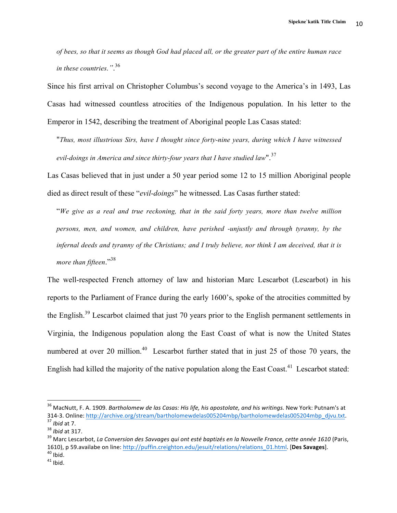*of bees, so that it seems as though God had placed all, or the greater part of the entire human race in these countries."*. 36

Since his first arrival on Christopher Columbus's second voyage to the America's in 1493, Las Casas had witnessed countless atrocities of the Indigenous population. In his letter to the Emperor in 1542, describing the treatment of Aboriginal people Las Casas stated:

"*Thus, most illustrious Sirs, have I thought since forty-nine years, during which I have witnessed evil-doings in America and since thirty-four years that I have studied law*".<sup>37</sup>

Las Casas believed that in just under a 50 year period some 12 to 15 million Aboriginal people died as direct result of these "*evil-doings*" he witnessed. Las Casas further stated:

"*We give as a real and true reckoning, that in the said forty years, more than twelve million persons, men, and women, and children, have perished -unjustly and through tyranny, by the infernal deeds and tyranny of the Christians; and I truly believe, nor think I am deceived, that it is more than fifteen*."38

The well-respected French attorney of law and historian Marc Lescarbot (Lescarbot) in his reports to the Parliament of France during the early 1600's, spoke of the atrocities committed by the English.39 Lescarbot claimed that just 70 years prior to the English permanent settlements in Virginia, the Indigenous population along the East Coast of what is now the United States numbered at over 20 million.<sup>40</sup> Lescarbot further stated that in just 25 of those 70 years, the English had killed the majority of the native population along the East Coast.<sup>41</sup> Lescarbot stated:

<sup>&</sup>lt;sup>36</sup> MacNutt, F. A. 1909. *Bartholomew de las Casas: His life, his apostolate, and his writings.* New York: Putnam's at<br>314-3. Online: http://archive.org/stream/bartholomewdelas005204mbp/bartholomewdelas005204mbp divu.txt. 33 Ibid at 7.<br><sup>33</sup> Ibid at 7.<br><sup>38</sup> Marc Lescarbot, *La Conversion des Savvages qui ont esté baptizés en la Novvelle France, cette année 1610* (Paris,

<sup>1610),</sup> p 59.availabe on line: http://puffin.creighton.edu/jesuit/relations/relations\_01.html. [Des Savages].<br><sup>40</sup> Ibid. 41 Ibid.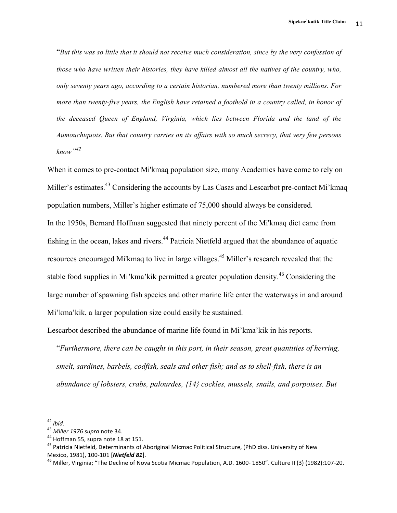"*But this was so little that it should not receive much consideration, since by the very confession of those who have written their histories, they have killed almost all the natives of the country, who, only seventy years ago, according to a certain historian, numbered more than twenty millions. For more than twenty-five years, the English have retained a foothold in a country called, in honor of the deceased Queen of England, Virginia, which lies between Florida and the land of the Aumouchiquois. But that country carries on its affairs with so much secrecy, that very few persons know"<sup>42</sup>*

When it comes to pre-contact Mi'kmaq population size, many Academics have come to rely on Miller's estimates.<sup>43</sup> Considering the accounts by Las Casas and Lescarbot pre-contact Mi'kmaq population numbers, Miller's higher estimate of 75,000 should always be considered.

In the 1950s, Bernard Hoffman suggested that ninety percent of the Mi'kmaq diet came from fishing in the ocean, lakes and rivers.<sup>44</sup> Patricia Nietfeld argued that the abundance of aquatic resources encouraged Mi'kmaq to live in large villages.<sup>45</sup> Miller's research revealed that the stable food supplies in Mi'kma'kik permitted a greater population density.<sup>46</sup> Considering the large number of spawning fish species and other marine life enter the waterways in and around Mi'kma'kik, a larger population size could easily be sustained.

Lescarbot described the abundance of marine life found in Mi'kma'kik in his reports.

"*Furthermore, there can be caught in this port, in their season, great quantities of herring, smelt, sardines, barbels, codfish, seals and other fish; and as to shell-fish, there is an abundance of lobsters, crabs, palourdes, {14} cockles, mussels, snails, and porpoises. But* 

<sup>&</sup>lt;sup>42</sup> *Ibid.*<br><sup>43</sup> *Miller 1976 supra* note 34.<br><sup>44</sup> Hoffman 55, supra note 18 at 151.<br><sup>45</sup> Patricia Nietfeld, Determinants of Aboriginal Micmac Political Structure, (PhD diss. University of New Mexico, 1981), 100-101 [*Nietfeld 81*].<br><sup>46</sup> Miller, Virginia; "The Decline of Nova Scotia Micmac Population, A.D. 1600- 1850". Culture II (3) (1982):107-20.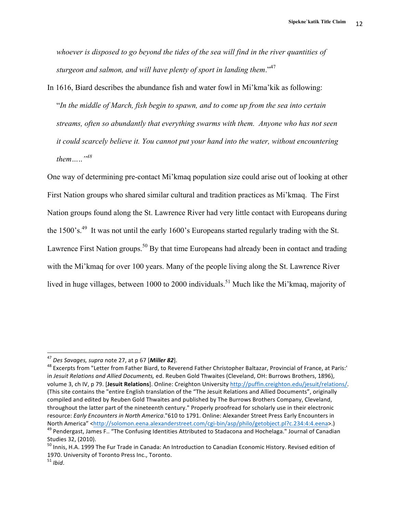*whoever is disposed to go beyond the tides of the sea will find in the river quantities of sturgeon and salmon, and will have plenty of sport in landing them*."47

In 1616, Biard describes the abundance fish and water fowl in Mi'kma'kik as following: "*In the middle of March, fish begin to spawn, and to come up from the sea into certain streams, often so abundantly that everything swarms with them. Anyone who has not seen it could scarcely believe it. You cannot put your hand into the water, without encountering them…*..*"<sup>48</sup>*

One way of determining pre-contact Mi'kmaq population size could arise out of looking at other First Nation groups who shared similar cultural and tradition practices as Mi'kmaq. The First Nation groups found along the St. Lawrence River had very little contact with Europeans during the 1500's.<sup>49</sup> It was not until the early 1600's Europeans started regularly trading with the St. Lawrence First Nation groups.<sup>50</sup> By that time Europeans had already been in contact and trading with the Mi'kmaq for over 100 years. Many of the people living along the St. Lawrence River lived in huge villages, between 1000 to 2000 individuals.<sup>51</sup> Much like the Mi'kmaq, majority of

<sup>&</sup>lt;sup>47</sup> *Des Savages, supra* note 27, at p 67 [*Miller 82*].<br><sup>48</sup> Excerpts from "Letter from Father Biard, to Reverend Father Christopher Baltazar, Provincial of France, at Paris:' in Jesuit Relations and Allied Documents, ed. Reuben Gold Thwaites (Cleveland, OH: Burrows Brothers, 1896), volume 3, ch IV, p 79. [Jesuit Relations]. Online: Creighton University http://puffin.creighton.edu/jesuit/relations/. (This site contains the "entire English translation of the "The Jesuit Relations and Allied Documents", originally compiled and edited by Reuben Gold Thwaites and published by The Burrows Brothers Company, Cleveland, throughout the latter part of the nineteenth century." Properly proofread for scholarly use in their electronic resource: *Early Encounters in North America*."610 to 1791. Online: Alexander Street Press Early Encounters in North America" <http://solomon.eena.alexanderstreet.com/cgi-bin/asp/philo/getobject.pl?c.234:4:4.eena>.)<br><sup>49</sup> Pendergast, James F.. "The Confusing Identities Attributed to Stadacona and Hochelaga." Journal of Canadian

Studies 32, (2010).

 $50$  Innis, H.A. 1999 The Fur Trade in Canada: An Introduction to Canadian Economic History. Revised edition of 1970. University of Toronto Press Inc., Toronto.<br><sup>51</sup> *Ibid*.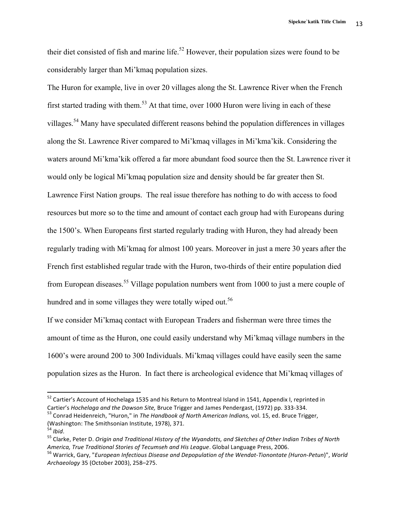13 **Sipekne`katik Title Claim**

their diet consisted of fish and marine life.<sup>52</sup> However, their population sizes were found to be considerably larger than Mi'kmaq population sizes.

The Huron for example, live in over 20 villages along the St. Lawrence River when the French first started trading with them.<sup>53</sup> At that time, over 1000 Huron were living in each of these villages.54 Many have speculated different reasons behind the population differences in villages along the St. Lawrence River compared to Mi'kmaq villages in Mi'kma'kik. Considering the waters around Mi'kma'kik offered a far more abundant food source then the St. Lawrence river it would only be logical Mi'kmaq population size and density should be far greater then St. Lawrence First Nation groups. The real issue therefore has nothing to do with access to food resources but more so to the time and amount of contact each group had with Europeans during the 1500's. When Europeans first started regularly trading with Huron, they had already been regularly trading with Mi'kmaq for almost 100 years. Moreover in just a mere 30 years after the French first established regular trade with the Huron, two-thirds of their entire population died from European diseases.<sup>55</sup> Village population numbers went from 1000 to just a mere couple of hundred and in some villages they were totally wiped out.<sup>56</sup>

If we consider Mi'kmaq contact with European Traders and fisherman were three times the amount of time as the Huron, one could easily understand why Mi'kmaq village numbers in the 1600's were around 200 to 300 Individuals. Mi'kmaq villages could have easily seen the same population sizes as the Huron. In fact there is archeological evidence that Mi'kmaq villages of

 $52$  Cartier's Account of Hochelaga 1535 and his Return to Montreal Island in 1541, Appendix I, reprinted in Cartier's *Hochelaga and the Dawson Site,* Bruce Trigger and James Pendergast, (1972) pp. 333-334. 53 Conrad Heidenreich, "Huron," in *The Handbook of North American Indians,* vol. 15, ed. Bruce Trigger,

<sup>(</sup>Washington: The Smithsonian Institute, 1978), 371.<br><sup>54</sup> *Ibid.* 55 Clarke, Peter D. *Origin and Traditional History of the Wyandotts, and Sketches of Other Indian Tribes of North*<br><sup>55</sup> Clarke, Peter D. *Origin and Traditi* 

<sup>&</sup>lt;sup>56</sup> Warrick, Gary, "*European Infectious Disease and Depopulation of the Wendat-Tionontate (Huron-Petun)", World Archaeology* 35 (October 2003), 258–275.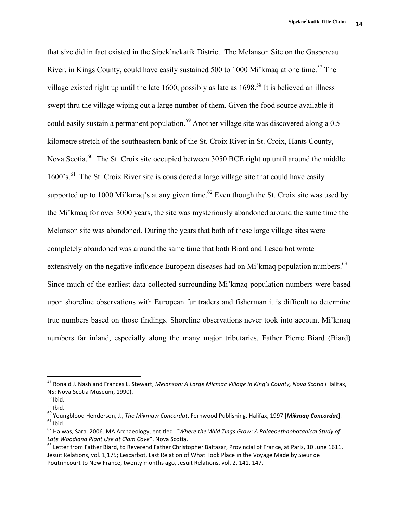that size did in fact existed in the Sipek'nekatik District. The Melanson Site on the Gaspereau River, in Kings County, could have easily sustained 500 to 1000 Mi'kmaq at one time.<sup>57</sup> The village existed right up until the late 1600, possibly as late as  $1698$ <sup>58</sup> It is believed an illness swept thru the village wiping out a large number of them. Given the food source available it could easily sustain a permanent population.<sup>59</sup> Another village site was discovered along a 0.5 kilometre stretch of the southeastern bank of the St. Croix River in St. Croix, Hants County, Nova Scotia.<sup>60</sup> The St. Croix site occupied between 3050 BCE right up until around the middle 1600's.<sup>61</sup> The St. Croix River site is considered a large village site that could have easily supported up to 1000 Mi'kmaq's at any given time.<sup>62</sup> Even though the St. Croix site was used by the Mi'kmaq for over 3000 years, the site was mysteriously abandoned around the same time the Melanson site was abandoned. During the years that both of these large village sites were completely abandoned was around the same time that both Biard and Lescarbot wrote extensively on the negative influence European diseases had on Mi'kmaq population numbers.<sup>63</sup> Since much of the earliest data collected surrounding Mi'kmaq population numbers were based upon shoreline observations with European fur traders and fisherman it is difficult to determine true numbers based on those findings. Shoreline observations never took into account Mi'kmaq numbers far inland, especially along the many major tributaries. Father Pierre Biard (Biard)

<sup>57</sup> Ronald J. Nash and Frances L. Stewart, *Melanson: A Large Micmac Village in King's County, Nova Scotia* (Halifax,

NS: Nova Scotia Museum, 1990).<br><sup>58</sup> Ibid.<br><sup>59</sup> Ibid.<br><sup>60</sup> Youngblood Henderson, J., *The Mikmaw Concordat*, Fernwood Publishing, Halifax, 1997 [*Mikmaq Concordat*].<br><sup>61</sup> Ibid.<br><sup>62</sup> Halwas, Sara. 2006. MA Archaeology, entit

Late Woodland Plant Use at Clam Cove", Nova Scotia.<br><sup>63</sup> Letter from Father Biard, to Reverend Father Christopher Baltazar, Provincial of France, at Paris, 10 June 1611,

Jesuit Relations, vol. 1,175; Lescarbot, Last Relation of What Took Place in the Voyage Made by Sieur de Poutrincourt to New France, twenty months ago, Jesuit Relations, vol. 2, 141, 147.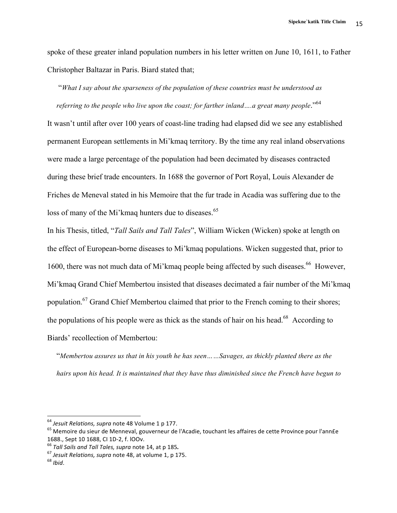spoke of these greater inland population numbers in his letter written on June 10, 1611, to Father Christopher Baltazar in Paris. Biard stated that;

"*What I say about the sparseness of the population of these countries must be understood as referring to the people who live upon the coast; for farther inland ….a great many people*."<sup>64</sup>

It wasn't until after over 100 years of coast-line trading had elapsed did we see any established permanent European settlements in Mi'kmaq territory. By the time any real inland observations were made a large percentage of the population had been decimated by diseases contracted during these brief trade encounters. In 1688 the governor of Port Royal, Louis Alexander de Friches de Meneval stated in his Memoire that the fur trade in Acadia was suffering due to the loss of many of the Mi'kmaq hunters due to diseases.<sup>65</sup>

In his Thesis, titled, "*Tall Sails and Tall Tales*", William Wicken (Wicken) spoke at length on the effect of European-borne diseases to Mi'kmaq populations. Wicken suggested that, prior to 1600, there was not much data of Mi'kmaq people being affected by such diseases.<sup>66</sup> However, Mi'kmaq Grand Chief Membertou insisted that diseases decimated a fair number of the Mi'kmaq population.<sup>67</sup> Grand Chief Membertou claimed that prior to the French coming to their shores; the populations of his people were as thick as the stands of hair on his head.<sup>68</sup> According to Biards' recollection of Membertou:

"*Membertou assures us that in his youth he has seen……Savages, as thickly planted there as the hairs upon his head. It is maintained that they have thus diminished since the French have begun to* 

<sup>&</sup>lt;sup>64</sup> Jesuit Relations, supra note 48 Volume 1 p 177.

<sup>&</sup>lt;sup>65</sup> Memoire du sieur de Menneval, gouverneur de l'Acadie, touchant les affaires de cette Province pour l'ann£e 1688., Sept 10 1688, CI 1D-2, f. lOOv.<br><sup>66</sup> *Tall Sails and Tall Tales, supra* note 14, at p 185.<br><sup>67</sup> *Jesuit Relations, supra* note 48, at volume 1, p 175.<br><sup>68</sup> *Ibid.*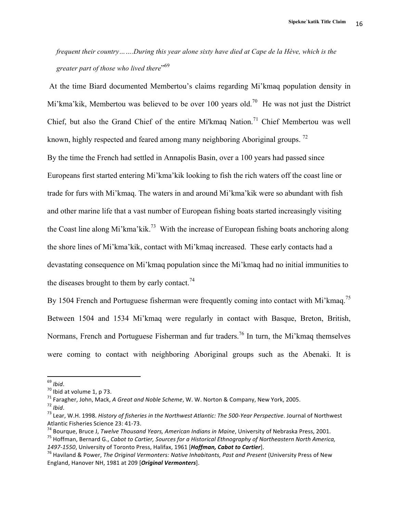*frequent their country…….During this year alone sixty have died at Cape de la Hève, which is the greater part of those who lived there*" 69

At the time Biard documented Membertou's claims regarding Mi'kmaq population density in Mi'kma'kik, Membertou was believed to be over 100 years old.<sup>70</sup> He was not just the District Chief, but also the Grand Chief of the entire Mi'kmaq Nation.<sup>71</sup> Chief Membertou was well known, highly respected and feared among many neighboring Aboriginal groups.  $^{72}$ 

By the time the French had settled in Annapolis Basin, over a 100 years had passed since Europeans first started entering Mi'kma'kik looking to fish the rich waters off the coast line or trade for furs with Mi'kmaq. The waters in and around Mi'kma'kik were so abundant with fish and other marine life that a vast number of European fishing boats started increasingly visiting the Coast line along Mi'kma'kik.<sup>73</sup> With the increase of European fishing boats anchoring along the shore lines of Mi'kma'kik, contact with Mi'kmaq increased. These early contacts had a devastating consequence on Mi'kmaq population since the Mi'kmaq had no initial immunities to the diseases brought to them by early contact.<sup>74</sup>

By 1504 French and Portuguese fisherman were frequently coming into contact with Mi'kmaq.<sup>75</sup> Between 1504 and 1534 Mi'kmaq were regularly in contact with Basque, Breton, British, Normans, French and Portuguese Fisherman and fur traders.<sup>76</sup> In turn, the Mi'kmaq themselves were coming to contact with neighboring Aboriginal groups such as the Abenaki. It is

 

Atlantic Fisheries Science 23: 41-73.<br><sup>74</sup> Bourque, Bruce J, *Twelve Thousand Years, American Indians in Maine*, University of Nebraska Press, 2001.<br><sup>75</sup> Hoffman, Bernard G., *Cabot to Cartier, Sources for a Historical Eth* 

<sup>&</sup>lt;sup>69</sup> *Ibid*.<br><sup>70</sup> Ibid at volume 1, p 73.<br><sup>71</sup> Faragher, John, Mack, A Great and Noble Scheme, W. W. Norton & Company, New York, 2005.<br><sup>72</sup> Ibid.<br><sup>73</sup> Lear, W.H. 1998. *History of fisheries in the Northwest Atlantic: The* 

<sup>&</sup>lt;sup>76</sup> Haviland & Power, *The Original Vermonters: Native Inhabitants, Past and Present* (University Press of New England, Hanover NH, 1981 at 209 [*Original Vermonters*].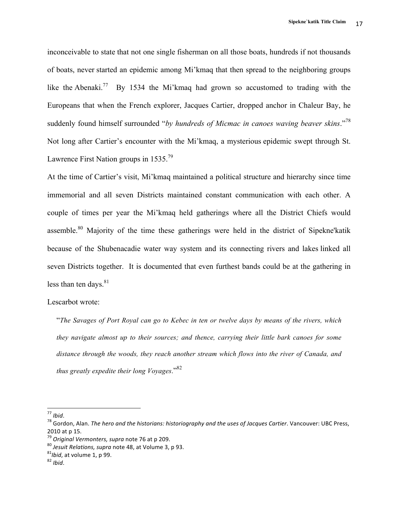inconceivable to state that not one single fisherman on all those boats, hundreds if not thousands of boats, never started an epidemic among Mi'kmaq that then spread to the neighboring groups like the Abenaki.<sup>77</sup> By 1534 the Mi'kmaq had grown so accustomed to trading with the Europeans that when the French explorer, Jacques Cartier, dropped anchor in Chaleur Bay, he suddenly found himself surrounded "*by hundreds of Micmac in canoes waving beaver skins*."<sup>78</sup> Not long after Cartier's encounter with the Mi'kmaq, a mysterious epidemic swept through St. Lawrence First Nation groups in  $1535.^{79}$ 

At the time of Cartier's visit, Mi'kmaq maintained a political structure and hierarchy since time immemorial and all seven Districts maintained constant communication with each other. A couple of times per year the Mi'kmaq held gatherings where all the District Chiefs would assemble.<sup>80</sup> Majority of the time these gatherings were held in the district of Sipekne'katik because of the Shubenacadie water way system and its connecting rivers and lakes linked all seven Districts together. It is documented that even furthest bands could be at the gathering in less than ten days. $81$ 

### Lescarbot wrote:

"*The Savages of Port Royal can go to Kebec in ten or twelve days by means of the rivers, which they navigate almost up to their sources; and thence, carrying their little bark canoes for some distance through the woods, they reach another stream which flows into the river of Canada, and thus greatly expedite their long Voyages*." 82

<sup>&</sup>lt;sup>77</sup> Ibid.<br><sup>78</sup> Gordon, Alan. *The hero and the historians: historiography and the uses of Jacques Cartier*. Vancouver: UBC Press, 2010 at p 15.<br><sup>79</sup> Original Vermonters, supra note 76 at p 209.

<sup>&</sup>lt;sup>80</sup> *Jesuit Relations, supra* note 48, at Volume 3, p 93.<br><sup>81</sup>*Ibid*, at volume 1, p 99. <sup>82</sup> *Ibid.*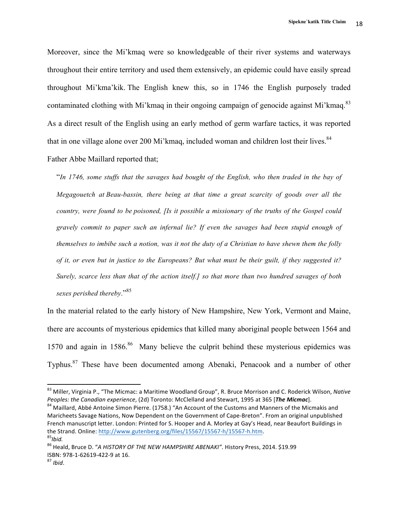Moreover, since the Mi'kmaq were so knowledgeable of their river systems and waterways throughout their entire territory and used them extensively, an epidemic could have easily spread throughout Mi'kma'kik. The English knew this, so in 1746 the English purposely traded contaminated clothing with Mi'kmaq in their ongoing campaign of genocide against Mi'kmaq.<sup>83</sup> As a direct result of the English using an early method of germ warfare tactics, it was reported that in one village alone over 200 Mi'kmaq, included woman and children lost their lives. $84$ 

Father Abbe Maillard reported that;

 

"*In 1746, some stuffs that the savages had bought of the English, who then traded in the bay of Megagouetch at Beau-bassin, there being at that time a great scarcity of goods over all the country, were found to be poisoned, [Is it possible a missionary of the truths of the Gospel could gravely commit to paper such an infernal lie? If even the savages had been stupid enough of themselves to imbibe such a notion, was it not the duty of a Christian to have shewn them the folly of it, or even but in justice to the Europeans? But what must be their guilt, if they suggested it? Surely, scarce less than that of the action itself.] so that more than two hundred savages of both sexes perished thereby*." 85

In the material related to the early history of New Hampshire, New York, Vermont and Maine, there are accounts of mysterious epidemics that killed many aboriginal people between 1564 and 1570 and again in 1586. <sup>86</sup> Many believe the culprit behind these mysterious epidemics was Typhus.87 These have been documented among Abenaki, Penacook and a number of other

<sup>&</sup>lt;sup>83</sup> Miller, Virginia P., "The Micmac: a Maritime Woodland Group", R. Bruce Morrison and C. Roderick Wilson, Native *Peoples: the Canadian experience*, (2d) Toronto: McClelland and Stewart, 1995 at 365 [*The Micmac*]. <sup>84</sup> Maillard, Abbé Antoine Simon Pierre. (1758.) "An Account of the Customs and Manners of the Micmakis and

Maricheets Savage Nations, Now Dependent on the Government of Cape-Breton". From an original unpublished French manuscript letter. London: Printed for S. Hooper and A. Morley at Gay's Head, near Beaufort Buildings in the Strand. Online: http://www.gutenberg.org/files/15567/15567-h/15567-h.htm.<br><sup>85</sup>*Ibid.* 

<sup>&</sup>lt;sup>86</sup> Heald, Bruce D. "A HISTORY OF THE NEW HAMPSHIRE ABENAKI". History Press, 2014. \$19.99 ISBN: 978-1-62619-422-9 at 16.<br><sup>87</sup> *Ibid*.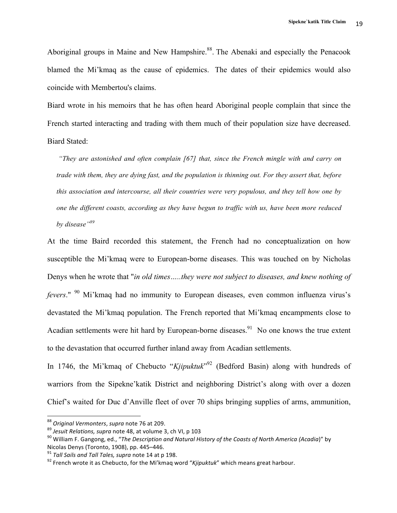Aboriginal groups in Maine and New Hampshire.<sup>88</sup>. The Abenaki and especially the Penacook blamed the Mi'kmaq as the cause of epidemics. The dates of their epidemics would also coincide with Membertou's claims.

Biard wrote in his memoirs that he has often heard Aboriginal people complain that since the French started interacting and trading with them much of their population size have decreased. Biard Stated:

*"They are astonished and often complain [67] that, since the French mingle with and carry on trade with them, they are dying fast, and the population is thinning out. For they assert that, before this association and intercourse, all their countries were very populous, and they tell how one by one the different coasts, according as they have begun to traffic with us, have been more reduced by disease"<sup>89</sup>*

At the time Baird recorded this statement, the French had no conceptualization on how susceptible the Mi'kmaq were to European-borne diseases. This was touched on by Nicholas Denys when he wrote that "*in old times…..they were not subject to diseases, and knew nothing of fevers*." <sup>90</sup> Mi'kmaq had no immunity to European diseases, even common influenza virus's devastated the Mi'kmaq population. The French reported that Mi'kmaq encampments close to Acadian settlements were hit hard by European-borne diseases.<sup>91</sup> No one knows the true extent to the devastation that occurred further inland away from Acadian settlements.

In 1746, the Mi'kmaq of Chebucto "Kjipuktuk"<sup>92</sup> (Bedford Basin) along with hundreds of warriors from the Sipekne'katik District and neighboring District's along with over a dozen Chief's waited for Duc d'Anville fleet of over 70 ships bringing supplies of arms, ammunition,

<sup>&</sup>lt;sup>88</sup> Original Vermonters, supra note 76 at 209.<br><sup>89</sup> Jesuit Relations, supra note 48, at volume 3, ch VI, p 103<br><sup>90</sup> William F. Gangong, ed., "The Description and Natural History of the Coasts of North America (Acadia)" by Nicolas Denys (Toronto, 1908), pp. 445–446.<br><sup>91</sup> *Tall Sails and Tall Tales, supra* note 14 at p 198.<br><sup>92</sup> French wrote it as Chebucto, for the Mi'kmaq word "*Kjipuktuk*" which means great harbour.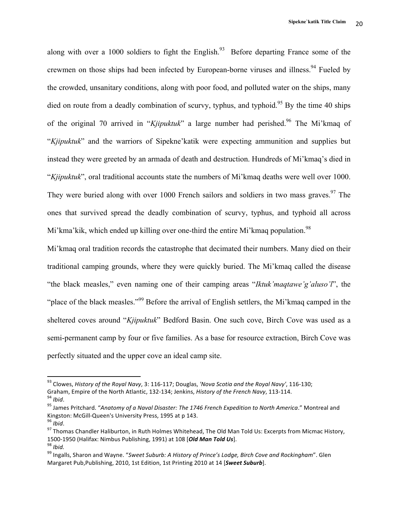along with over a 1000 soldiers to fight the English.<sup>93</sup> Before departing France some of the crewmen on those ships had been infected by European-borne viruses and illness.<sup>94</sup> Fueled by the crowded, unsanitary conditions, along with poor food, and polluted water on the ships, many died on route from a deadly combination of scurvy, typhus, and typhoid.<sup>95</sup> By the time 40 ships of the original 70 arrived in "*Kjipuktuk*" a large number had perished.<sup>96</sup> The Mi'kmaq of "*Kjipuktuk*" and the warriors of Sipekne'katik were expecting ammunition and supplies but instead they were greeted by an armada of death and destruction. Hundreds of Mi'kmaq's died in "*Kjipuktuk*", oral traditional accounts state the numbers of Mi'kmaq deaths were well over 1000. They were buried along with over 1000 French sailors and soldiers in two mass graves. <sup>97</sup> The ones that survived spread the deadly combination of scurvy, typhus, and typhoid all across Mi'kma'kik, which ended up killing over one-third the entire Mi'kmaq population.<sup>98</sup>

Mi'kmaq oral tradition records the catastrophe that decimated their numbers. Many died on their traditional camping grounds, where they were quickly buried. The Mi'kmaq called the disease "the black measles," even naming one of their camping areas "*Iktuk'maqtawe'g'aluso'l*", the "place of the black measles."<sup>99</sup> Before the arrival of English settlers, the Mi'kmaq camped in the sheltered coves around "*Kjipuktuk*" Bedford Basin. One such cove, Birch Cove was used as a semi-permanent camp by four or five families. As a base for resource extraction, Birch Cove was perfectly situated and the upper cove an ideal camp site.

<sup>&</sup>lt;sup>93</sup> Clowes, *History of the Royal Navy*, 3: 116-117; Douglas, *'Nova Scotia and the Royal Navy'*, 116-130;

Graham, Empire of the North Atlantic, 132-134; Jenkins, *History of the French Navy*, 113-114.<br><sup>94</sup> *Ibid.*<br><sup>95</sup> James Pritchard. "Anatomy of a Naval Disaster: The 1746 French Expedition to North America." Montreal and<br>Kin

<sup>&</sup>lt;sup>97</sup> Thomas Chandler Haliburton, in Ruth Holmes Whitehead, The Old Man Told Us: Excerpts from Micmac History, 1500-1950 (Halifax: Nimbus Publishing, 1991) at 108 *[Old Man Told Us*].<br><sup>98</sup> *Ibid.* 99 Ingalls, Sharon and Wayne. "Sweet Suburb: A History of Prince's Lodge, Birch Cove and Rockingham". Glen

Margaret Pub, Publishing, 2010, 1st Edition, 1st Printing 2010 at 14 [*Sweet Suburb*].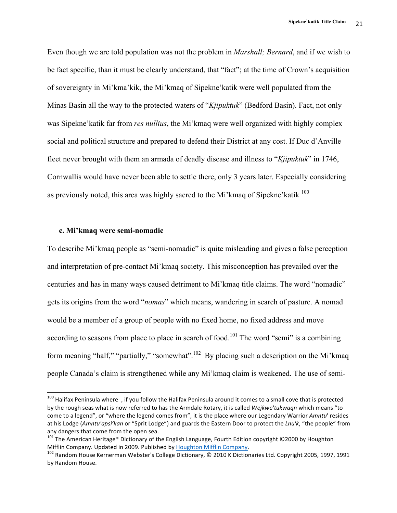Even though we are told population was not the problem in *Marshall; Bernard*, and if we wish to be fact specific, than it must be clearly understand, that "fact"; at the time of Crown's acquisition of sovereignty in Mi'kma'kik, the Mi'kmaq of Sipekne'katik were well populated from the Minas Basin all the way to the protected waters of "*Kjipuktuk*" (Bedford Basin). Fact, not only was Sipekne'katik far from *res nullius*, the Mi'kmaq were well organized with highly complex social and political structure and prepared to defend their District at any cost. If Duc d'Anville fleet never brought with them an armada of deadly disease and illness to "*Kjipuktuk*" in 1746, Cornwallis would have never been able to settle there, only 3 years later. Especially considering as previously noted, this area was highly sacred to the Mi'kmaq of Sipekne'katik  $100$ 

#### **c. Mi'kmaq were semi-nomadic**

 

To describe Mi'kmaq people as "semi-nomadic" is quite misleading and gives a false perception and interpretation of pre-contact Mi'kmaq society. This misconception has prevailed over the centuries and has in many ways caused detriment to Mi'kmaq title claims. The word "nomadic" gets its origins from the word "*nomas*" which means, wandering in search of pasture. A nomad would be a member of a group of people with no fixed home, no fixed address and move according to seasons from place to place in search of food.<sup>101</sup> The word "semi" is a combining form meaning "half," "partially," "somewhat".<sup>102</sup> By placing such a description on the Mi'kmaq people Canada's claim is strengthened while any Mi'kmaq claim is weakened. The use of semi-

 $100$  Halifax Peninsula where, if you follow the Halifax Peninsula around it comes to a small cove that is protected by the rough seas what is now referred to has the Armdale Rotary, it is called Wejkwe'tukwaqn which means "to come to a legend", or "where the legend comes from", it is the place where our Legendary Warrior *Amntu*' resides at his Lodge (Amntu'apsi'kan or "Sprit Lodge") and guards the Eastern Door to protect the *Lnu'k*, "the people" from any dangers that come from the open sea.

<sup>101</sup> The American Heritage® Dictionary of the English Language, Fourth Edition copyright ©2000 by Houghton Mifflin Company. Updated in 2009. Published by Houghton Mifflin Company.<br><sup>102</sup> Random House Kernerman Webster's College Dictionary, © 2010 K Dictionaries Ltd. Copyright 2005, 1997, 1991

by Random House.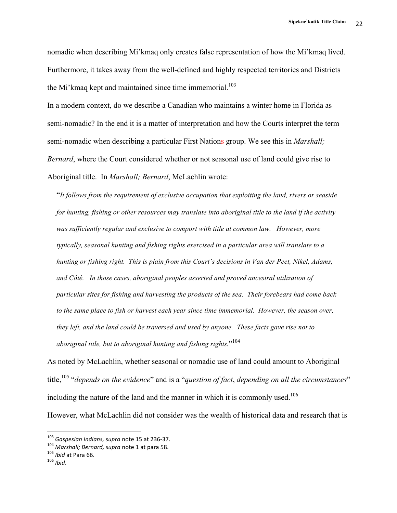nomadic when describing Mi'kmaq only creates false representation of how the Mi'kmaq lived. Furthermore, it takes away from the well-defined and highly respected territories and Districts the Mi'kmaq kept and maintained since time immemorial.<sup>103</sup>

In a modern context, do we describe a Canadian who maintains a winter home in Florida as semi-nomadic? In the end it is a matter of interpretation and how the Courts interpret the term semi-nomadic when describing a particular First Nations group. We see this in *Marshall; Bernard*, where the Court considered whether or not seasonal use of land could give rise to Aboriginal title. In *Marshall; Bernard*, McLachlin wrote:

"*It follows from the requirement of exclusive occupation that exploiting the land, rivers or seaside for hunting, fishing or other resources may translate into aboriginal title to the land if the activity was sufficiently regular and exclusive to comport with title at common law. However, more typically, seasonal hunting and fishing rights exercised in a particular area will translate to a hunting or fishing right. This is plain from this Court's decisions in Van der Peet, Nikel, Adams, and Côté. In those cases, aboriginal peoples asserted and proved ancestral utilization of particular sites for fishing and harvesting the products of the sea. Their forebears had come back to the same place to fish or harvest each year since time immemorial. However, the season over, they left, and the land could be traversed and used by anyone. These facts gave rise not to aboriginal title, but to aboriginal hunting and fishing rights.*" 104

As noted by McLachlin, whether seasonal or nomadic use of land could amount to Aboriginal title, <sup>105</sup> "*depends on the evidence*" and is a "*question of fact*, *depending on all the circumstances*" including the nature of the land and the manner in which it is commonly used.<sup>106</sup> However, what McLachlin did not consider was the wealth of historical data and research that is

 $103$  Gaspesian Indians, supra note 15 at 236-37.

<sup>104</sup> *Marshall; Bernard, supra* note 1 at para 58.<br><sup>105</sup> *Ibid* at Para 66.<br><sup>106</sup> *Ibid*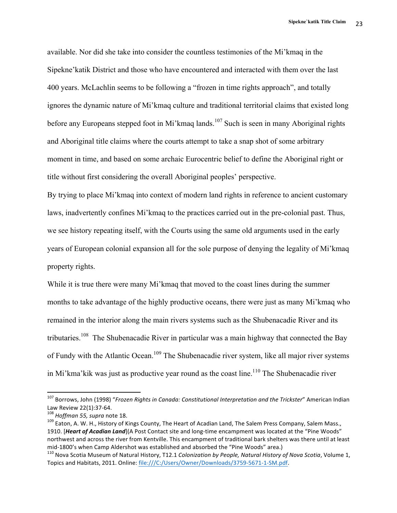available. Nor did she take into consider the countless testimonies of the Mi'kmaq in the Sipekne'katik District and those who have encountered and interacted with them over the last 400 years. McLachlin seems to be following a "frozen in time rights approach", and totally ignores the dynamic nature of Mi'kmaq culture and traditional territorial claims that existed long before any Europeans stepped foot in Mi'kmaq lands.<sup>107</sup> Such is seen in many Aboriginal rights and Aboriginal title claims where the courts attempt to take a snap shot of some arbitrary moment in time, and based on some archaic Eurocentric belief to define the Aboriginal right or title without first considering the overall Aboriginal peoples' perspective.

By trying to place Mi'kmaq into context of modern land rights in reference to ancient customary laws, inadvertently confines Mi'kmaq to the practices carried out in the pre-colonial past. Thus, we see history repeating itself, with the Courts using the same old arguments used in the early years of European colonial expansion all for the sole purpose of denying the legality of Mi'kmaq property rights.

While it is true there were many Mi'kmaq that moved to the coast lines during the summer months to take advantage of the highly productive oceans, there were just as many Mi'kmaq who remained in the interior along the main rivers systems such as the Shubenacadie River and its tributaries.<sup>108</sup> The Shubenacadie River in particular was a main highway that connected the Bay of Fundy with the Atlantic Ocean.<sup>109</sup> The Shubenacadie river system, like all major river systems in Mi'kma'kik was just as productive year round as the coast line.<sup>110</sup> The Shubenacadie river

<sup>&</sup>lt;sup>107</sup> Borrows, John (1998) "*Frozen Rights in Canada: Constitutional Interpretation and the Trickster*" American Indian Law Review 22(1):37-64.<br><sup>108</sup> *Hoffman 55, supra* note 18.<br><sup>109</sup> Eaton, A. W. H., History of Kings County, The Heart of Acadian Land, The Salem Press Company, Salem Mass.,

<sup>1910. [</sup>*Heart of Acadian Land*](A Post Contact site and long-time encampment was located at the "Pine Woods" northwest and across the river from Kentville. This encampment of traditional bark shelters was there until at least mid-1800's when Camp Aldershot was established and absorbed the "Pine Woods" area.)<br><sup>110</sup> Nova Scotia Museum of Natural History, T12.1 *Colonization by People, Natural History of Nova Scotia*, Volume 1,

Topics and Habitats, 2011. Online: file:///C:/Users/Owner/Downloads/3759-5671-1-SM.pdf.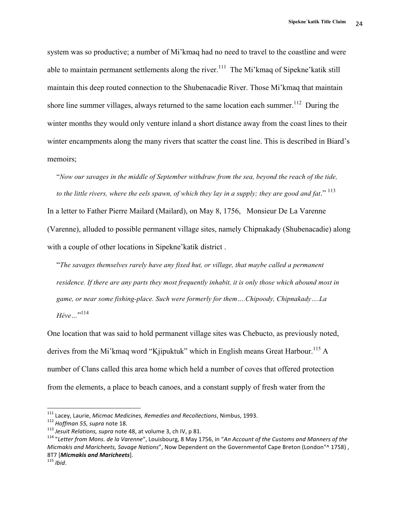system was so productive; a number of Mi'kmaq had no need to travel to the coastline and were able to maintain permanent settlements along the river.<sup>111</sup> The Mi'kmaq of Sipekne' katik still maintain this deep routed connection to the Shubenacadie River. Those Mi'kmaq that maintain shore line summer villages, always returned to the same location each summer.<sup>112</sup> During the winter months they would only venture inland a short distance away from the coast lines to their winter encampments along the many rivers that scatter the coast line. This is described in Biard's memoirs;

"*Now our savages in the middle of September withdraw from the sea, beyond the reach of the tide,*  to the little rivers, where the eels spawn, of which they lay in a supply; they are good and fat."<sup>113</sup>

In a letter to Father Pierre Mailard (Mailard), on May 8, 1756, Monsieur De La Varenne (Varenne), alluded to possible permanent village sites, namely Chipnakady (Shubenacadie) along with a couple of other locations in Sipekne'katik district .

"*The savages themselves rarely have any fixed hut, or village, that maybe called a permanent residence. If there are any parts they most frequently inhabit, it is only those which abound most in game, or near some fishing-place. Such were formerly for them….Chipoody, Chipnakady….La Héve…*" 114

One location that was said to hold permanent village sites was Chebucto, as previously noted, derives from the Mi'kmaq word "Kjipuktuk" which in English means Great Harbour.<sup>115</sup> A number of Clans called this area home which held a number of coves that offered protection from the elements, a place to beach canoes, and a constant supply of fresh water from the

<sup>&</sup>lt;sup>111</sup> Lacey, Laurie, *Micmac Medicines, Remedies and Recollections*, Nimbus, 1993.<br><sup>112</sup> Hoffman 55, supra note 18.<br><sup>113</sup> Jesuit Relations, supra note 48, at volume 3, ch IV, p 81.<br><sup>114</sup> "Letter from Mons. de la Varenne". *Micmakis and Maricheets, Savage Nations"*, Now Dependent on the Governmentof Cape Breton (London"^ 1758), 8T7 [**Micmakis and Maricheets**].<br><sup>115</sup> *Ibid.*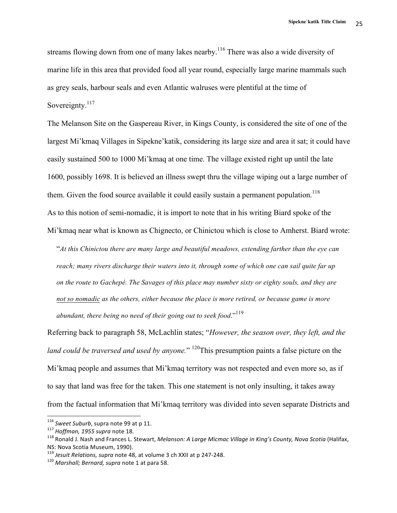streams flowing down from one of many lakes nearby.<sup>116</sup> There was also a wide diversity of marine life in this area that provided food all year round, especially large marine mammals such as grey seals, harbour seals and even Atlantic walruses were plentiful at the time of Sovereignty.<sup>117</sup>

The Melanson Site on the Gaspereau River, in Kings County, is considered the site of one of the largest Mi'kmaq Villages in Sipekne'katik, considering its large size and area it sat; it could have easily sustained 500 to 1000 Mi'kmaq at one time. The village existed right up until the late 1600, possibly 1698. It is believed an illness swept thru the village wiping out a large number of them. Given the food source available it could easily sustain a permanent population.<sup>118</sup> As to this notion of semi-nomadic, it is import to note that in his writing Biard spoke of the Mi'kmaq near what is known as Chignecto, or Chinictou which is close to Amherst. Biard wrote:

"*At this Chinictou there are many large and beautiful meadows, extending farther than the eye can reach; many rivers discharge their waters into it, through some of which one can sail quite far up on the route to Gachepé. The Savages of this place may number sixty or eighty souls, and they are not so nomadic as the others, either because the place is more retired, or because game is more abundant, there being no need of their going out to seek food*."<sup>119</sup>

Referring back to paragraph 58, McLachlin states; "*However, the season over, they left, and the land could be traversed and used by anyone.*" 120This presumption paints a false picture on the Mi'kmaq people and assumes that Mi'kmaq territory was not respected and even more so, as if to say that land was free for the taken. This one statement is not only insulting, it takes away from the factual information that Mi'kmaq territory was divided into seven separate Districts and

<sup>&</sup>lt;sup>116</sup> Sweet Suburb, supra note 99 at p 11.<br><sup>117</sup> *Hoffman, 1955 supra* note 18.<br><sup>118</sup> Ronald J. Nash and Frances L. Stewart, *Melanson: A Large Micmac Village in King's County, Nova Scotia* (Halifax, NS: Nova Scotia Museum, 1990).

<sup>&</sup>lt;sup>119</sup> *Jesuit Relations, supra* note 48, at volume 3 ch XXII at p 247-248.<br><sup>120</sup> Marshall; Bernard, supra note 1 at para 58.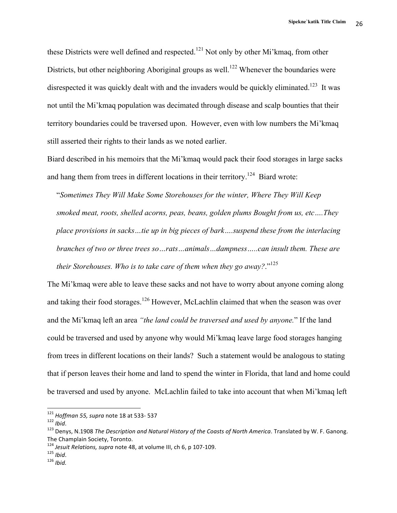these Districts were well defined and respected.<sup>121</sup> Not only by other Mi'kmaq, from other Districts, but other neighboring Aboriginal groups as well.<sup>122</sup> Whenever the boundaries were disrespected it was quickly dealt with and the invaders would be quickly eliminated.<sup>123</sup> It was not until the Mi'kmaq population was decimated through disease and scalp bounties that their territory boundaries could be traversed upon. However, even with low numbers the Mi'kmaq still asserted their rights to their lands as we noted earlier.

Biard described in his memoirs that the Mi'kmaq would pack their food storages in large sacks and hang them from trees in different locations in their territory.<sup>124</sup> Biard wrote:

"*Sometimes They Will Make Some Storehouses for the winter, Where They Will Keep smoked meat, roots, shelled acorns, peas, beans, golden plums Bought from us, etc….They place provisions in sacks…tie up in big pieces of bark….suspend these from the interlacing branches of two or three trees so…rats…animals…dampness…..can insult them. These are their Storehouses. Who is to take care of them when they go away?*."<sup>125</sup>

The Mi'kmaq were able to leave these sacks and not have to worry about anyone coming along and taking their food storages.<sup>126</sup> However, McLachlin claimed that when the season was over and the Mi'kmaq left an area *"the land could be traversed and used by anyone.*" If the land could be traversed and used by anyone why would Mi'kmaq leave large food storages hanging from trees in different locations on their lands? Such a statement would be analogous to stating that if person leaves their home and land to spend the winter in Florida, that land and home could be traversed and used by anyone. McLachlin failed to take into account that when Mi'kmaq left

 $121$  Hoffman 55, supra note 18 at 533-537

*וכר -כבר ac at 1913 , supra* note 16 at  $55$  ,  $\frac{122}{122}$  *Ibid.*<br><sup>122</sup> *Ibid.* 123 Denys, N.1908 The Description and Natural History of the Coasts of North America. Translated by W. F. Ganong. The Champlain Society, Toronto.

<sup>124</sup> *Jesuit Relations, supra* note 48, at volume III, ch 6, p 107-109.<br><sup>125</sup> *Ibid.* 126 *Ibid.* 126 *Ibid*.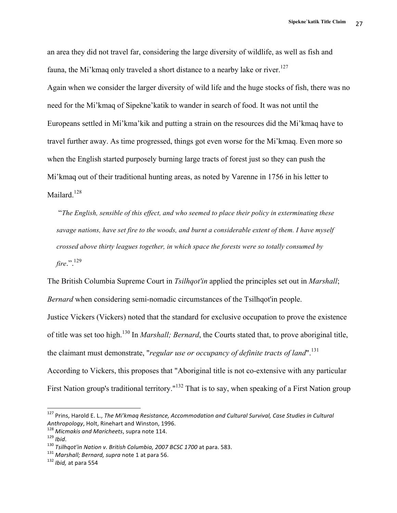an area they did not travel far, considering the large diversity of wildlife, as well as fish and fauna, the Mi'kmaq only traveled a short distance to a nearby lake or river.<sup>127</sup>

Again when we consider the larger diversity of wild life and the huge stocks of fish, there was no need for the Mi'kmaq of Sipekne'katik to wander in search of food. It was not until the Europeans settled in Mi'kma'kik and putting a strain on the resources did the Mi'kmaq have to travel further away. As time progressed, things got even worse for the Mi'kmaq. Even more so when the English started purposely burning large tracts of forest just so they can push the Mi'kmaq out of their traditional hunting areas, as noted by Varenne in 1756 in his letter to Mailard.<sup>128</sup>

"*The English, sensible of this effect, and who seemed to place their policy in exterminating these savage nations, have set fire to the woods, and burnt a considerable extent of them. I have myself crossed above thirty leagues together, in which space the forests were so totally consumed by fire*.".129

The British Columbia Supreme Court in *Tsilhqot'in* applied the principles set out in *Marshall*; *Bernard* when considering semi-nomadic circumstances of the Tsilhqot'in people.

Justice Vickers (Vickers) noted that the standard for exclusive occupation to prove the existence of title was set too high.<sup>130</sup> In *Marshall; Bernard*, the Courts stated that, to prove aboriginal title, the claimant must demonstrate, "*regular use or occupancy of definite tracts of land*". 131 According to Vickers, this proposes that "Aboriginal title is not co-extensive with any particular First Nation group's traditional territory."<sup>132</sup> That is to say, when speaking of a First Nation group

<sup>&</sup>lt;sup>127</sup> Prins, Harold E. L., *The Mi'kmaq Resistance, Accommodation and Cultural Survival, Case Studies in Cultural* Anthropology, Holt, Rinehart and Winston, 1996.<br><sup>128</sup> Micmakis and Maricheets, supra note 114.<br><sup>129</sup> Ibid.<br><sup>130</sup> Tsilhqot'in Nation v. British Columbia, 2007 BCSC 1700 at para. 583.<br><sup>131</sup> Marshall; Bernard, supra note 1 at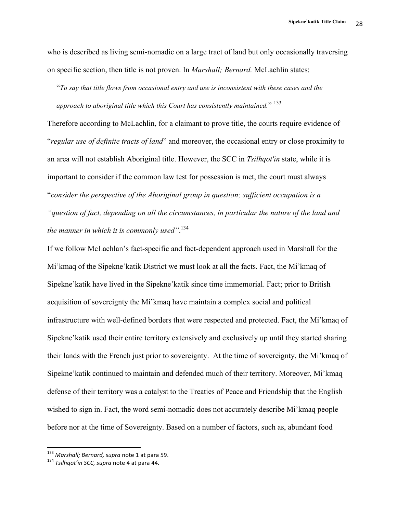who is described as living semi-nomadic on a large tract of land but only occasionally traversing on specific section, then title is not proven. In *Marshall; Bernard.* McLachlin states:

"*To say that title flows from occasional entry and use is inconsistent with these cases and the approach to aboriginal title which this Court has consistently maintained.*" <sup>133</sup>

Therefore according to McLachlin, for a claimant to prove title, the courts require evidence of "*regular use of definite tracts of land*" and moreover, the occasional entry or close proximity to an area will not establish Aboriginal title. However, the SCC in *Tsilhqot'in* state, while it is important to consider if the common law test for possession is met, the court must always "*consider the perspective of the Aboriginal group in question; sufficient occupation is a "question of fact, depending on all the circumstances, in particular the nature of the land and the manner in which it is commonly used"*. 134

If we follow McLachlan's fact-specific and fact-dependent approach used in Marshall for the Mi'kmaq of the Sipekne'katik District we must look at all the facts. Fact, the Mi'kmaq of Sipekne'katik have lived in the Sipekne'katik since time immemorial. Fact; prior to British acquisition of sovereignty the Mi'kmaq have maintain a complex social and political infrastructure with well-defined borders that were respected and protected. Fact, the Mi'kmaq of Sipekne'katik used their entire territory extensively and exclusively up until they started sharing their lands with the French just prior to sovereignty. At the time of sovereignty, the Mi'kmaq of Sipekne'katik continued to maintain and defended much of their territory. Moreover, Mi'kmaq defense of their territory was a catalyst to the Treaties of Peace and Friendship that the English wished to sign in. Fact, the word semi-nomadic does not accurately describe Mi'kmaq people before nor at the time of Sovereignty. Based on a number of factors, such as, abundant food

<sup>&</sup>lt;sup>133</sup> Marshall; Bernard, supra note 1 at para 59.<br><sup>134</sup> Tsilhqot'in SCC, supra note 4 at para 44.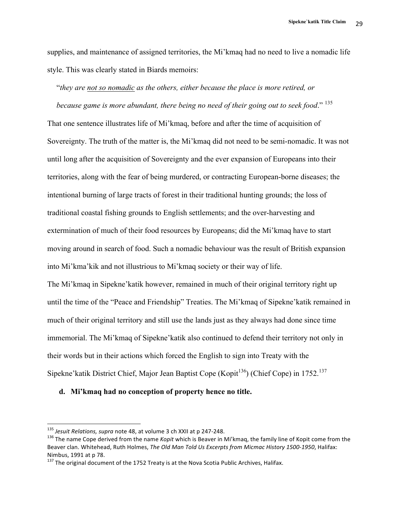supplies, and maintenance of assigned territories, the Mi'kmaq had no need to live a nomadic life style. This was clearly stated in Biards memoirs:

# "*they are not so nomadic as the others, either because the place is more retired, or*

*because game is more abundant, there being no need of their going out to seek food*." <sup>135</sup> That one sentence illustrates life of Mi'kmaq, before and after the time of acquisition of Sovereignty. The truth of the matter is, the Mi'kmaq did not need to be semi-nomadic. It was not until long after the acquisition of Sovereignty and the ever expansion of Europeans into their territories, along with the fear of being murdered, or contracting European-borne diseases; the intentional burning of large tracts of forest in their traditional hunting grounds; the loss of traditional coastal fishing grounds to English settlements; and the over-harvesting and extermination of much of their food resources by Europeans; did the Mi'kmaq have to start moving around in search of food. Such a nomadic behaviour was the result of British expansion into Mi'kma'kik and not illustrious to Mi'kmaq society or their way of life. The Mi'kmaq in Sipekne'katik however, remained in much of their original territory right up until the time of the "Peace and Friendship" Treaties. The Mi'kmaq of Sipekne'katik remained in much of their original territory and still use the lands just as they always had done since time immemorial. The Mi'kmaq of Sipekne'katik also continued to defend their territory not only in their words but in their actions which forced the English to sign into Treaty with the Sipekne'katik District Chief, Major Jean Baptist Cope (Kopit<sup>136</sup>) (Chief Cope) in 1752.<sup>137</sup>

### **d. Mi'kmaq had no conception of property hence no title.**

<sup>&</sup>lt;sup>135</sup> Jesuit Relations, supra note 48, at volume 3 ch XXII at p 247-248.<br><sup>136</sup> The name Cope derived from the name *Kopit* which is Beaver in Mi'kmaq, the family line of Kopit come from the Beaver clan. Whitehead, Ruth Holmes, The Old Man Told Us Excerpts from Micmac History 1500-1950, Halifax: Nimbus, 1991 at p 78.<br>
<sup>137</sup> The original document of the 1752 Treaty is at the Nova Scotia Public Archives, Halifax.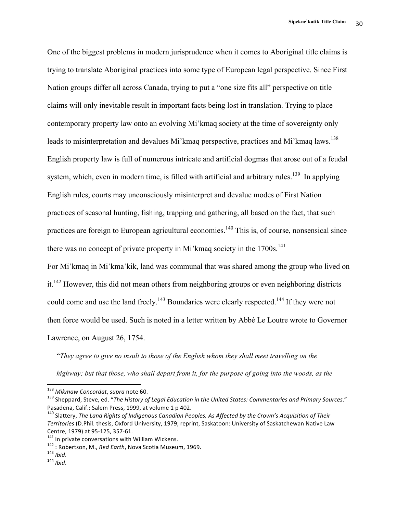One of the biggest problems in modern jurisprudence when it comes to Aboriginal title claims is trying to translate Aboriginal practices into some type of European legal perspective. Since First Nation groups differ all across Canada, trying to put a "one size fits all" perspective on title claims will only inevitable result in important facts being lost in translation. Trying to place contemporary property law onto an evolving Mi'kmaq society at the time of sovereignty only leads to misinterpretation and devalues Mi'kmaq perspective, practices and Mi'kmaq laws.<sup>138</sup> English property law is full of numerous intricate and artificial dogmas that arose out of a feudal system, which, even in modern time, is filled with artificial and arbitrary rules.<sup>139</sup> In applying English rules, courts may unconsciously misinterpret and devalue modes of First Nation practices of seasonal hunting, fishing, trapping and gathering, all based on the fact, that such practices are foreign to European agricultural economies.<sup>140</sup> This is, of course, nonsensical since there was no concept of private property in Mi'kmaq society in the  $1700s$ .<sup>141</sup>

For Mi'kmaq in Mi'kma'kik, land was communal that was shared among the group who lived on  $it.<sup>142</sup>$  However, this did not mean others from neighboring groups or even neighboring districts could come and use the land freely.<sup>143</sup> Boundaries were clearly respected.<sup>144</sup> If they were not then force would be used. Such is noted in a letter written by Abbé Le Loutre wrote to Governor Lawrence, on August 26, 1754.

"*They agree to give no insult to those of the English whom they shall meet travelling on the highway; but that those, who shall depart from it, for the purpose of going into the woods, as the* 

<sup>&</sup>lt;sup>138</sup> Mikmaw Concordat, supra note 60.<br><sup>139</sup> Sheppard, Steve, ed. "The History of Legal Education in the United States: Commentaries and Primary Sources." Pasadena, Calif.: Salem Press, 1999, at volume 1 p 402.

<sup>&</sup>lt;sup>140</sup> Slattery, The Land Rights of Indigenous Canadian Peoples, As Affected by the Crown's Acquisition of Their Territories (D.Phil. thesis, Oxford University, 1979; reprint, Saskatoon: University of Saskatchewan Native Law Centre, 1979) at 95-125, 357-61.<br><sup>141</sup> In private conversations with William Wickens.<br><sup>142</sup> : Robertson, M., *Red Earth*, Nova Scotia Museum, 1969.<br><sup>143</sup> *Ibid*. <sup>144</sup> *Ibid*.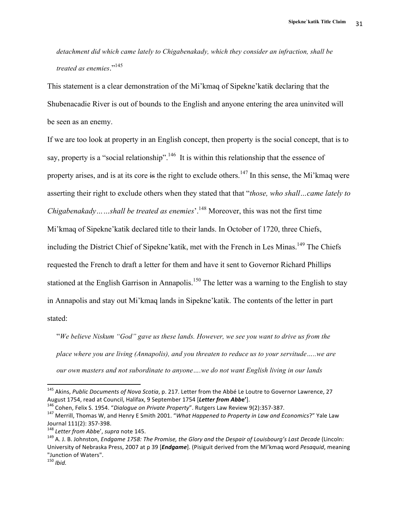*detachment did which came lately to Chigabenakady, which they consider an infraction, shall be treated as enemies*." 145

This statement is a clear demonstration of the Mi'kmaq of Sipekne'katik declaring that the Shubenacadie River is out of bounds to the English and anyone entering the area uninvited will be seen as an enemy.

If we are too look at property in an English concept, then property is the social concept, that is to say, property is a "social relationship".<sup>146</sup> It is within this relationship that the essence of property arises, and is at its core is the right to exclude others.<sup>147</sup> In this sense, the Mi'kmaq were asserting their right to exclude others when they stated that that "*those, who shall…came lately to Chigabenakady……shall be treated as enemies*<sup>'</sup>.<sup>148</sup> Moreover, this was not the first time

Mi'kmaq of Sipekne'katik declared title to their lands. In October of 1720, three Chiefs,

including the District Chief of Sipekne' katik, met with the French in Les Minas.<sup>149</sup> The Chiefs

requested the French to draft a letter for them and have it sent to Governor Richard Phillips

stationed at the English Garrison in Annapolis.<sup>150</sup> The letter was a warning to the English to stay

in Annapolis and stay out Mi'kmaq lands in Sipekne'katik. The contents of the letter in part

stated:

"*We believe Niskum "God" gave us these lands. However, we see you want to drive us from the place where you are living (Annapolis), and you threaten to reduce us to your servitude…..we are our own masters and not subordinate to anyone….we do not want English living in our lands* 

<sup>&</sup>lt;sup>145</sup> Akins, Public Documents of Nova Scotia, p. 217. Letter from the Abbé Le Loutre to Governor Lawrence, 27 August 1754, read at Council, Halifax, 9 September 1754 [Letter from Abbe'].<br><sup>146</sup> Cohen, Felix S. 1954. "Dialogue on Private Property". Rutgers Law Review 9(2):357-387.<br><sup>147</sup> Merrill. Thomas W, and Henry E Smith 2001. "Wh

Journal 111(2): 357-398.<br><sup>148</sup> Letter from Abbe', supra note 145.<br><sup>149</sup> A. J. B. Johnston, *Endgame 1758: The Promise, the Glory and the Despair of Louisbourg's Last Decade* (Lincoln:

University of Nebraska Press, 2007 at p 39 [*Endgame*]. (Pisiguit derived from the Mi'kmaq word Pesaquid, meaning "Junction of Waters".

<sup>150</sup> *Ibid.*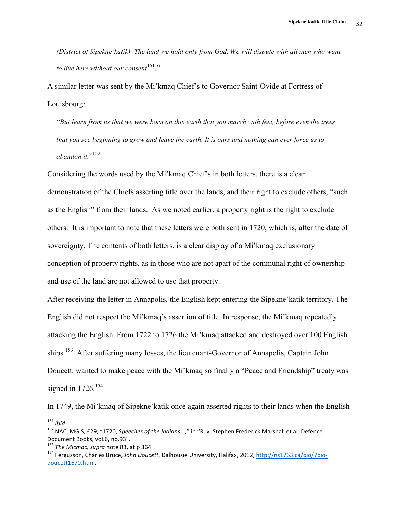*(District of Sipekne'katik). The land we hold only from God. We will dispute with all men who want to live here without our consent*<sup>151</sup>."

A similar letter was sent by the Mi'kmaq Chief's to Governor Saint-Ovide at Fortress of Louisbourg:

"*But learn from us that we were born on this earth that you march with feet, before even the trees that you see beginning to grow and leave the earth. It is ours and nothing can ever force us to abandon it.*" 152

Considering the words used by the Mi'kmaq Chief's in both letters, there is a clear demonstration of the Chiefs asserting title over the lands, and their right to exclude others, "such as the English" from their lands. As we noted earlier, a property right is the right to exclude others. It is important to note that these letters were both sent in 1720, which is, after the date of sovereignty. The contents of both letters, is a clear display of a Mi'kmaq exclusionary conception of property rights, as in those who are not apart of the communal right of ownership and use of the land are not allowed to use that property.

After receiving the letter in Annapolis, the English kept entering the Sipekne'katik territory. The English did not respect the Mi'kmaq's assertion of title. In response, the Mi'kmaq repeatedly attacking the English. From 1722 to 1726 the Mi'kmaq attacked and destroyed over 100 English ships.<sup>153</sup> After suffering many losses, the lieutenant-Governor of Annapolis, Captain John Doucett, wanted to make peace with the Mi'kmaq so finally a "Peace and Friendship" treaty was signed in  $1726$ <sup>154</sup>

In 1749, the Mi'kmaq of Sipekne'katik once again asserted rights to their lands when the English

<sup>&</sup>lt;sup>151</sup> *Ibid*.<br><sup>152</sup> NAC, MGIS, £29, "1720, *Speeches of the Indians...,"* in "R. v. Stephen Frederick Marshall et al. Defence Document Books, vol.6, no.93".<br><sup>153</sup> The Micmac, supra note 83, at p 364.

<sup>154</sup> Fergusson, Charles Bruce, *John Doucett*, Dalhousie University, Halifax, 2012, http://ns1763.ca/bio/7biodoucett1670.html.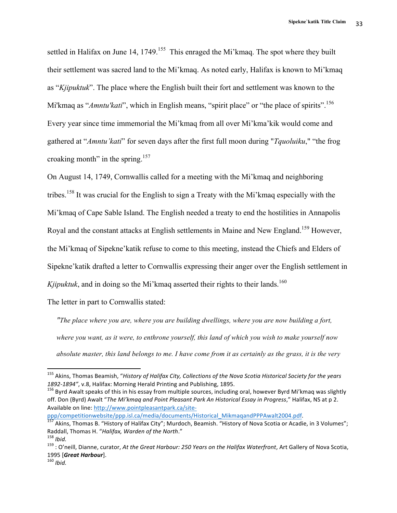settled in Halifax on June 14,  $1749$ <sup>155</sup>. This enraged the Mi'kmaq. The spot where they built their settlement was sacred land to the Mi'kmaq. As noted early, Halifax is known to Mi'kmaq as "*Kjipuktuk*". The place where the English built their fort and settlement was known to the Mi'kmaq as "*Amntu'kati*", which in English means, "spirit place" or "the place of spirits".<sup>156</sup> Every year since time immemorial the Mi'kmaq from all over Mi'kma'kik would come and gathered at "*Amntu'kati*" for seven days after the first full moon during "*Tquoluiku*," "the frog croaking month" in the spring. $157$ 

On August 14, 1749, Cornwallis called for a meeting with the Mi'kmaq and neighboring tribes.<sup>158</sup> It was crucial for the English to sign a Treaty with the Mi'kmaq especially with the Mi'kmaq of Cape Sable Island. The English needed a treaty to end the hostilities in Annapolis Royal and the constant attacks at English settlements in Maine and New England.<sup>159</sup> However, the Mi'kmaq of Sipekne'katik refuse to come to this meeting, instead the Chiefs and Elders of Sipekne'katik drafted a letter to Cornwallis expressing their anger over the English settlement in  $Kjipuktuk$ , and in doing so the Mi'kmaq asserted their rights to their lands.<sup>160</sup>

The letter in part to Cornwallis stated:

 

*"The place where you are, where you are building dwellings, where you are now building a fort, where you want, as it were, to enthrone yourself, this land of which you wish to make yourself now absolute master, this land belongs to me. I have come from it as certainly as the grass, it is the very* 

<sup>&</sup>lt;sup>155</sup> Akins, Thomas Beamish, "History of Halifax City, Collections of the Nova Scotia Historical Society for the years 1892-1894", v.8, Halifax: Morning Herald Printing and Publishing, 1895.<br><sup>156</sup> Bvrd Awalt speaks of this in his essay from multiple sources, including oral, however Byrd Mi'kmaq was slightly

off. Don (Byrd) Awalt "The Mi'kmaq and Point Pleasant Park An Historical Essay in Progress," Halifax, NS at p 2. Available on line: http://www.pointpleasantpark.ca/site-

ppp/competitionwebsite/ppp.isl.ca/media/documents/Historical\_MikmaqandPPPAwalt2004.pdf.<br>
<sup>157</sup> Akins, Thomas B. "History of Halifax City"; Murdoch, Beamish. "History of Nova Scotia or Acadie, in 3 Volumes";<br>
Raddall, Thoma

<sup>&</sup>lt;sup>158</sup> Ibid.<br><sup>159</sup> : O'neill, Dianne, curator, *At the Great Harbour: 250 Years on the Halifax Waterfront*, Art Gallery of Nova Scotia, <sup>1995</sup> [*Great Harbour*]. <sup>160</sup> *Ibid.*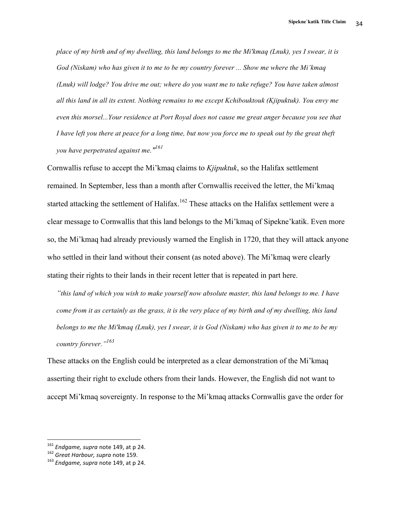*place of my birth and of my dwelling, this land belongs to me the Mi'kmaq (Lnuk), yes I swear, it is God (Niskam) who has given it to me to be my country forever ... Show me where the Mi'kmaq (Lnuk) will lodge? You drive me out; where do you want me to take refuge? You have taken almost all this land in all its extent. Nothing remains to me except Kchibouktouk (Kjipuktuk). You envy me even this morsel...Your residence at Port Royal does not cause me great anger because you see that I have left you there at peace for a long time, but now you force me to speak out by the great theft you have perpetrated against me."161*

Cornwallis refuse to accept the Mi'kmaq claims to *Kjipuktuk*, so the Halifax settlement remained. In September, less than a month after Cornwallis received the letter, the Mi'kmaq started attacking the settlement of Halifax.<sup>162</sup> These attacks on the Halifax settlement were a clear message to Cornwallis that this land belongs to the Mi'kmaq of Sipekne'katik. Even more so, the Mi'kmaq had already previously warned the English in 1720, that they will attack anyone who settled in their land without their consent (as noted above). The Mi'kmaq were clearly stating their rights to their lands in their recent letter that is repeated in part here.

*"this land of which you wish to make yourself now absolute master, this land belongs to me. I have come from it as certainly as the grass, it is the very place of my birth and of my dwelling, this land belongs to me the Mi'kmaq (Lnuk), yes I swear, it is God (Niskam) who has given it to me to be my country forever."<sup>163</sup>*

These attacks on the English could be interpreted as a clear demonstration of the Mi'kmaq asserting their right to exclude others from their lands. However, the English did not want to accept Mi'kmaq sovereignty. In response to the Mi'kmaq attacks Cornwallis gave the order for

<sup>&</sup>lt;sup>161</sup> Endgame, supra note 149, at p 24.

<sup>162</sup> *Great Harbour, supra* note 159.<br><sup>163</sup> *Endgame, supra* note 149, at p 24.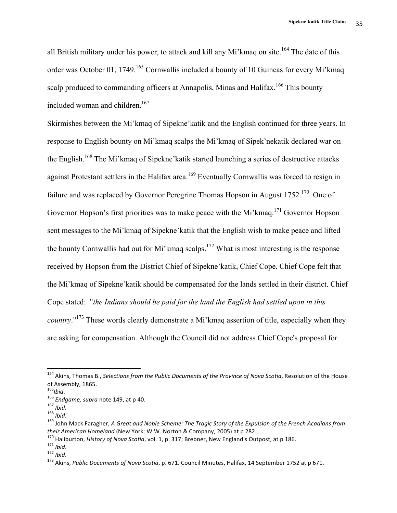all British military under his power, to attack and kill any Mi'kmaq on site.<sup>164</sup> The date of this order was October 01, 1749.<sup>165</sup> Cornwallis included a bounty of 10 Guineas for every Mi'kmaq scalp produced to commanding officers at Annapolis, Minas and Halifax.<sup>166</sup> This bounty included woman and children.<sup>167</sup>

Skirmishes between the Mi'kmaq of Sipekne'katik and the English continued for three years. In response to English bounty on Mi'kmaq scalps the Mi'kmaq of Sipek'nekatik declared war on the English.<sup>168</sup> The Mi'kmaq of Sipekne' katik started launching a series of destructive attacks against Protestant settlers in the Halifax area.<sup>169</sup> Eventually Cornwallis was forced to resign in failure and was replaced by Governor Peregrine Thomas Hopson in August  $1752$ .<sup>170</sup> One of Governor Hopson's first priorities was to make peace with the Mi'kmaq.<sup>171</sup> Governor Hopson sent messages to the Mi'kmaq of Sipekne'katik that the English wish to make peace and lifted the bounty Cornwallis had out for Mi'kmaq scalps.<sup>172</sup> What is most interesting is the response received by Hopson from the District Chief of Sipekne'katik, Chief Cope. Chief Cope felt that the Mi'kmaq of Sipekne'katik should be compensated for the lands settled in their district. Chief Cope stated: "*the Indians should be paid for the land the English had settled upon in this country*."<sup>173</sup> These words clearly demonstrate a Mi'kmaq assertion of title, especially when they are asking for compensation. Although the Council did not address Chief Cope's proposal for

<sup>&</sup>lt;sup>164</sup> Akins, Thomas B., *Selections from the Public Documents of the Province of Nova Scotia*, Resolution of the House of Assembly, 1865.<br><sup>165</sup>lbid.

<sup>&</sup>lt;sup>166</sup> Endgame, supra note 149, at p 40.<br><sup>167</sup> *Ibid.*<br><sup>168</sup> John Mack Faragher, A Great and Noble Scheme: The Tragic Story of the Expulsion of the French Acadians from<br>*their American Homeland* (New York: W.W. Norton & Com

<sup>&</sup>lt;sup>170</sup> Haliburton, *History of Nova Scotia*, vol. 1, p. 317; Brebner, New England's Outpost, at p 186.<br><sup>171</sup> Ibid.<br><sup>172</sup> Ibid.<br><sup>173</sup> Akins, *Public Documents of Nova Scotia*, p. 671. Council Minutes, Halifax, 14 September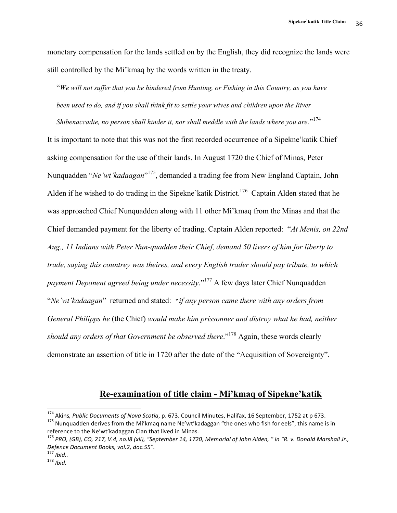monetary compensation for the lands settled on by the English, they did recognize the lands were still controlled by the Mi'kmaq by the words written in the treaty.

"*We will not suffer that you be hindered from Hunting, or Fishing in this Country, as you have been used to do, and if you shall think fit to settle your wives and children upon the River* 

*Shibenaccadie, no person shall hinder it, nor shall meddle with the lands where you are.*" 174 It is important to note that this was not the first recorded occurrence of a Sipekne'katik Chief asking compensation for the use of their lands. In August 1720 the Chief of Minas, Peter Nunquadden "*Ne'wt'kadaagan*" 175, demanded a trading fee from New England Captain, John Alden if he wished to do trading in the Sipekne' katik District.<sup>176</sup> Captain Alden stated that he was approached Chief Nunquadden along with 11 other Mi'kmaq from the Minas and that the Chief demanded payment for the liberty of trading. Captain Alden reported: "*At Menis, on 22nd Aug., 11 Indians with Peter Nun-quadden their Chief, demand 50 livers of him for liberty to trade, saying this countrey was theires, and every English trader should pay tribute, to which payment Deponent agreed being under necessity*." <sup>177</sup> A few days later Chief Nunquadden "*Ne'wt'kadaagan*" returned and stated: "*if any person came there with any orders from General Philipps he* (the Chief) *would make him prissonner and distroy what he had, neither*  should any orders of that Government be observed there."<sup>178</sup> Again, these words clearly demonstrate an assertion of title in 1720 after the date of the "Acquisition of Sovereignty".

# **Re-examination of title claim - Mi'kmaq of Sipekne'katik**

<sup>&</sup>lt;sup>174</sup> Akins, Public Documents of Nova Scotia, p. 673. Council Minutes, Halifax, 16 September, 1752 at p 673. <sup>175</sup> Nunquadden derives from the Mi'kmaq name Ne'wt'kadaggan "the ones who fish for eels", this name is in reference to the Ne'wt'kadaggan Clan that lived in Minas.

<sup>&</sup>lt;sup>176</sup> PRO, (GB), CO, 217, V.4, no.l8 (xii), "September 14, 1720, Memorial of John Alden, " in "R. v. Donald Marshall Jr., Defence Document Books, vol.2, doc.55".<br><sup>177</sup> Ibid..

<sup>177</sup> *Ibid..* <sup>178</sup> *Ibid.*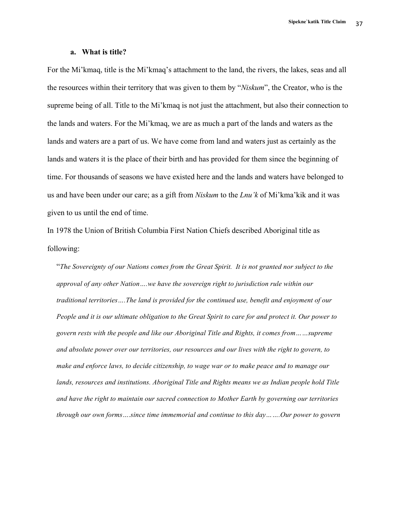#### **a. What is title?**

For the Mi'kmaq, title is the Mi'kmaq's attachment to the land, the rivers, the lakes, seas and all the resources within their territory that was given to them by "*Niskum*", the Creator, who is the supreme being of all. Title to the Mi'kmaq is not just the attachment, but also their connection to the lands and waters. For the Mi'kmaq, we are as much a part of the lands and waters as the lands and waters are a part of us. We have come from land and waters just as certainly as the lands and waters it is the place of their birth and has provided for them since the beginning of time. For thousands of seasons we have existed here and the lands and waters have belonged to us and have been under our care; as a gift from *Niskum* to the *Lnu'k* of Mi'kma'kik and it was given to us until the end of time.

In 1978 the Union of British Columbia First Nation Chiefs described Aboriginal title as following:

"*The Sovereignty of our Nations comes from the Great Spirit. It is not granted nor subject to the approval of any other Nation….we have the sovereign right to jurisdiction rule within our traditional territories….The land is provided for the continued use, benefit and enjoyment of our People and it is our ultimate obligation to the Great Spirit to care for and protect it. Our power to govern rests with the people and like our Aboriginal Title and Rights, it comes from……supreme and absolute power over our territories, our resources and our lives with the right to govern, to make and enforce laws, to decide citizenship, to wage war or to make peace and to manage our lands, resources and institutions. Aboriginal Title and Rights means we as Indian people hold Title and have the right to maintain our sacred connection to Mother Earth by governing our territories through our own forms….since time immemorial and continue to this day…….Our power to govern*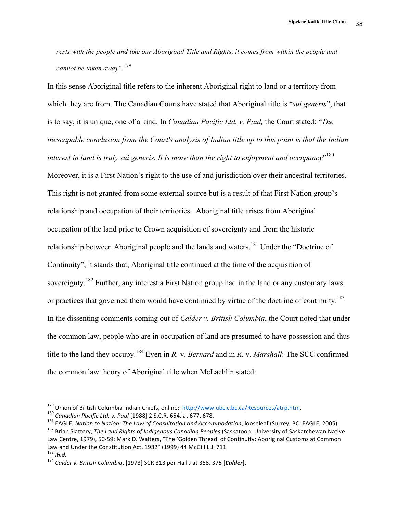*rests with the people and like our Aboriginal Title and Rights, it comes from within the people and cannot be taken away*". 179

In this sense Aboriginal title refers to the inherent Aboriginal right to land or a territory from which they are from. The Canadian Courts have stated that Aboriginal title is "*sui generis*", that is to say, it is unique, one of a kind. In *Canadian Pacific Ltd. v. Paul,* the Court stated: "*The inescapable conclusion from the Court's analysis of Indian title up to this point is that the Indian interest in land is truly sui generis. It is more than the right to enjoyment and occupancy*" 180 Moreover, it is a First Nation's right to the use of and jurisdiction over their ancestral territories. This right is not granted from some external source but is a result of that First Nation group's relationship and occupation of their territories. Aboriginal title arises from Aboriginal occupation of the land prior to Crown acquisition of sovereignty and from the historic relationship between Aboriginal people and the lands and waters.<sup>181</sup> Under the "Doctrine of Continuity", it stands that, Aboriginal title continued at the time of the acquisition of sovereignty.<sup>182</sup> Further, any interest a First Nation group had in the land or any customary laws or practices that governed them would have continued by virtue of the doctrine of continuity.<sup>183</sup> In the dissenting comments coming out of *Calder v. British Columbia*, the Court noted that under the common law, people who are in occupation of land are presumed to have possession and thus title to the land they occupy.184 Even in *R.* v. *Bernard* and in *R.* v. *Marshall*: The SCC confirmed the common law theory of Aboriginal title when McLachlin stated:

<sup>&</sup>lt;sup>179</sup> Union of British Columbia Indian Chiefs, online: http://www.ubcic.bc.ca/Resources/atrp.htm.<br><sup>180</sup> Canadian Pacific Ltd. v. Paul [1988] 2 S.C.R. 654, at 677, 678.<br><sup>181</sup> EAGLE, Nation to Nation: The Law of Consultation Law Centre, 1979), 50-59; Mark D. Walters, "The 'Golden Thread' of Continuity: Aboriginal Customs at Common

Law and Under the Constitution Act, 1982" (1999) 44 McGill L.J. 711.<br><sup>183</sup> *Ibid.* 184 *Calder v. British Columbia*, [1973] SCR 313 per Hall J at 368, 375 [**Calder**].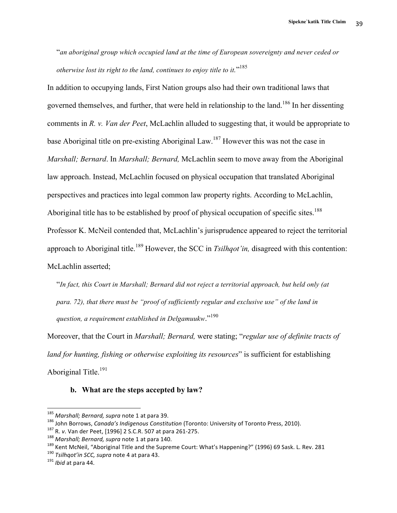"*an aboriginal group which occupied land at the time of European sovereignty and never ceded or otherwise lost its right to the land, continues to enjoy title to it.*" 185

In addition to occupying lands, First Nation groups also had their own traditional laws that governed themselves, and further, that were held in relationship to the land.<sup>186</sup> In her dissenting comments in *R. v. Van der Peet*, McLachlin alluded to suggesting that, it would be appropriate to base Aboriginal title on pre-existing Aboriginal Law.187 However this was not the case in *Marshall; Bernard*. In *Marshall; Bernard,* McLachlin seem to move away from the Aboriginal law approach. Instead, McLachlin focused on physical occupation that translated Aboriginal perspectives and practices into legal common law property rights. According to McLachlin, Aboriginal title has to be established by proof of physical occupation of specific sites.<sup>188</sup> Professor K. McNeil contended that, McLachlin's jurisprudence appeared to reject the territorial approach to Aboriginal title.<sup>189</sup> However, the SCC in *Tsilhqot'in*, disagreed with this contention: McLachlin asserted;

"*In fact, this Court in Marshall; Bernard did not reject a territorial approach, but held only (at para. 72), that there must be "proof of sufficiently regular and exclusive use" of the land in*  question, a requirement established in Delgamuukw."<sup>190</sup>

Moreover, that the Court in *Marshall; Bernard,* were stating; "*regular use of definite tracts of land for hunting, fishing or otherwise exploiting its resources*" is sufficient for establishing Aboriginal Title.<sup>191</sup>

## **b. What are the steps accepted by law?**

<sup>&</sup>lt;sup>185</sup> Marshall; Bernard, supra note 1 at para 39.<br><sup>186</sup> John Borrows, *Canada's Indigenous Constitution* (Toronto: University of Toronto Press, 2010).<br><sup>187</sup> R. v. Van der Peet, [1996] 2 S.C.R. 507 at para 261-275.<br><sup>188</sup> M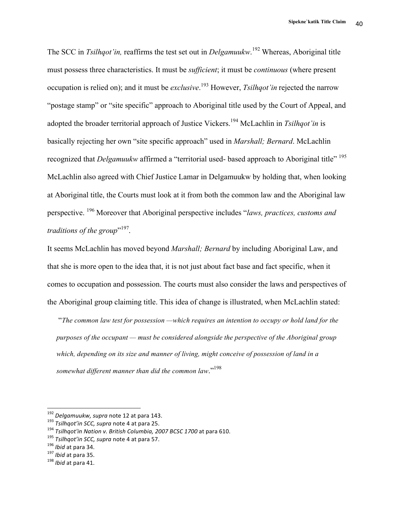The SCC in *Tsilhqot'in,* reaffirms the test set out in *Delgamuukw*. <sup>192</sup> Whereas, Aboriginal title must possess three characteristics. It must be *sufficient*; it must be *continuous* (where present occupation is relied on); and it must be *exclusive*. <sup>193</sup> However, *Tsilhqot'in* rejected the narrow "postage stamp" or "site specific" approach to Aboriginal title used by the Court of Appeal, and adopted the broader territorial approach of Justice Vickers.194 McLachlin in *Tsilhqot'in* is basically rejecting her own "site specific approach" used in *Marshall; Bernard*. McLachlin recognized that *Delgamuukw* affirmed a "territorial used- based approach to Aboriginal title" 195 McLachlin also agreed with Chief Justice Lamar in Delgamuukw by holding that, when looking at Aboriginal title, the Courts must look at it from both the common law and the Aboriginal law perspective. <sup>196</sup> Moreover that Aboriginal perspective includes "*laws, practices, customs and traditions of the group*" 197.

It seems McLachlin has moved beyond *Marshall; Bernard* by including Aboriginal Law, and that she is more open to the idea that, it is not just about fact base and fact specific, when it comes to occupation and possession. The courts must also consider the laws and perspectives of the Aboriginal group claiming title. This idea of change is illustrated, when McLachlin stated:

"*The common law test for possession —which requires an intention to occupy or hold land for the purposes of the occupant — must be considered alongside the perspective of the Aboriginal group which, depending on its size and manner of living, might conceive of possession of land in a somewhat different manner than did the common law*." 198

<sup>&</sup>lt;sup>192</sup> Delgamuukw, supra note 12 at para 143.<br><sup>193</sup> Tsilhqot'in SCC, supra note 4 at para 25.<br><sup>194</sup> Tsilhqot'in Nation v. British Columbia, 2007 BCSC 1700 at para 610.<br><sup>195</sup> Tsilhqot'in SCC, supra note 4 at para 57.<br><sup>196</sup>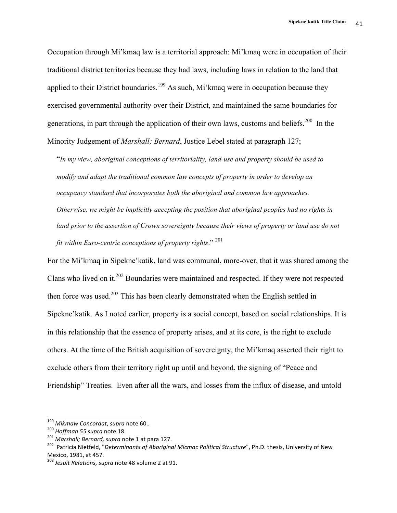Occupation through Mi'kmaq law is a territorial approach: Mi'kmaq were in occupation of their traditional district territories because they had laws, including laws in relation to the land that applied to their District boundaries.<sup>199</sup> As such, Mi'kmaq were in occupation because they exercised governmental authority over their District, and maintained the same boundaries for generations, in part through the application of their own laws, customs and beliefs.<sup>200</sup> In the Minority Judgement of *Marshall; Bernard*, Justice Lebel stated at paragraph 127;

"*In my view, aboriginal conceptions of territoriality, land-use and property should be used to modify and adapt the traditional common law concepts of property in order to develop an occupancy standard that incorporates both the aboriginal and common law approaches. Otherwise, we might be implicitly accepting the position that aboriginal peoples had no rights in*  land prior to the assertion of Crown sovereignty because their views of property or land use do not *fit within Euro-centric conceptions of property rights*." <sup>201</sup>

For the Mi'kmaq in Sipekne'katik, land was communal, more-over, that it was shared among the Clans who lived on it.202 Boundaries were maintained and respected. If they were not respected then force was used.<sup>203</sup> This has been clearly demonstrated when the English settled in Sipekne'katik. As I noted earlier, property is a social concept, based on social relationships. It is in this relationship that the essence of property arises, and at its core, is the right to exclude others. At the time of the British acquisition of sovereignty, the Mi'kmaq asserted their right to exclude others from their territory right up until and beyond, the signing of "Peace and Friendship" Treaties. Even after all the wars, and losses from the influx of disease, and untold

<sup>&</sup>lt;sup>199</sup> Mikmaw Concordat, supra note 60..

<sup>&</sup>lt;sup>200</sup> Hoffman 55 supra note 18.<br><sup>201</sup> Marshall; Bernard, supra note 1 at para 127.<br><sup>202</sup> Patricia Nietfeld, "*Determinants of Aboriginal Micmac Political Structure*", Ph.D. thesis, University of New Mexico, 1981, at 457.<br><sup>203</sup> Jesuit Relations, supra note 48 volume 2 at 91.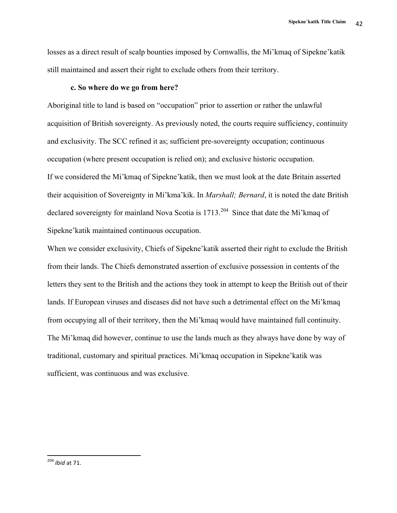losses as a direct result of scalp bounties imposed by Cornwallis, the Mi'kmaq of Sipekne'katik still maintained and assert their right to exclude others from their territory.

#### **c. So where do we go from here?**

Aboriginal title to land is based on "occupation" prior to assertion or rather the unlawful acquisition of British sovereignty. As previously noted, the courts require sufficiency, continuity and exclusivity. The SCC refined it as; sufficient pre-sovereignty occupation; continuous occupation (where present occupation is relied on); and exclusive historic occupation. If we considered the Mi'kmaq of Sipekne'katik, then we must look at the date Britain asserted their acquisition of Sovereignty in Mi'kma'kik. In *Marshall; Bernard*, it is noted the date British declared sovereignty for mainland Nova Scotia is 1713.<sup>204</sup> Since that date the Mi'kmaq of Sipekne'katik maintained continuous occupation.

When we consider exclusivity, Chiefs of Sipekne'katik asserted their right to exclude the British from their lands. The Chiefs demonstrated assertion of exclusive possession in contents of the letters they sent to the British and the actions they took in attempt to keep the British out of their lands. If European viruses and diseases did not have such a detrimental effect on the Mi'kmaq from occupying all of their territory, then the Mi'kmaq would have maintained full continuity. The Mi'kmaq did however, continue to use the lands much as they always have done by way of traditional, customary and spiritual practices. Mi'kmaq occupation in Sipekne'katik was sufficient, was continuous and was exclusive.

<sup>&</sup>lt;sup>204</sup> *Ihid* at 71.